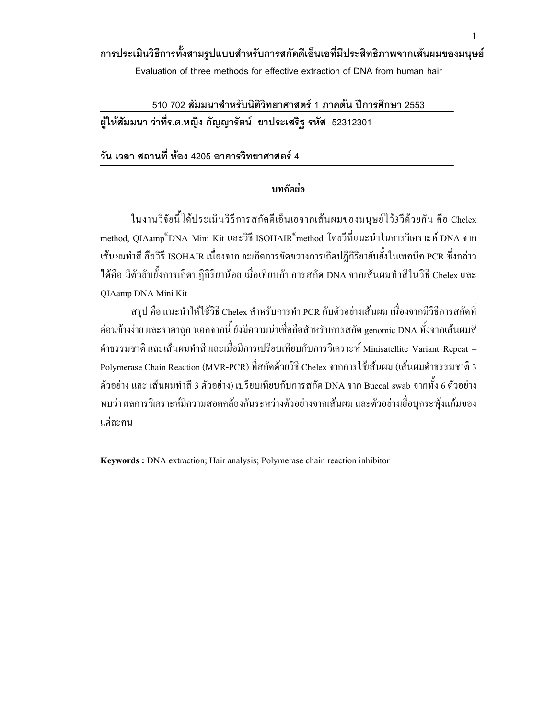# การประเมินวิธีการทั้งสามรูปแบบสำหรับการสกัดดีเอ็นเอที่มีประสิทธิภาพจากเส้นผมของมนุษย์

Evaluation of three methods for effective extraction of DNA from human hair

510 702 สัมมนาสำหรับนิติวิทยาศาสตร์ 1 ภาคต้น ปีการศึกษา 2553 ผู้ให้สัมมนา ว่าที่ร.ต.หญิง กัญญารัตน์ ยาประเสริฐ รหัส 52312301

### วัน เวลา สถานที่ ห้อง 4205 อาคารวิทยาศาสตร์ 4

### บทคัดย่อ

ในงานวิจัยนี้ได้ประเมินวิธีการสกัดดีเอี่นเอจากเส้นผมของมนุษย์ไว้3วีด้วยกัน กือ Chelex  $\overline{a}$ method, QIAamp®DNA Mini Kit และวิธี ISOHAIR®method โดยวีที่แนะนำในการวิเคราะห์ DNA จาก เส้นผมทำสี คือวิธี ISOHAIR เนื่องจาก จะเกิดการขัดขวางการเกิดปฏิกิริยายับยั้งในเทคนิค PCR ซึ่งกล่าว ได้คือ มีตัวยับยั้งการเกิดปฏิกิริยาน้อย เมื่อเทียบกับการสกัด DNA จากเส้นผมทำสีในวิธี Chelex และ QIAamp DNA Mini Kit

สรุป คือ แนะนำให้ใช้วิธี Chelex สำหรับการทำ PCR กับตัวอย่างเส้นผม เนื่องจากมีวิธีการสกัดที่ ก่อนข้างง่าย และราคาถูก นอกจากนี้ ยังมีความน่าเชื่อถือสำหรับการสกัด genomic DNA ทั้งจากเส้นผมสี คำธรรมชาติ และเส้นผมทำสี และเมื่อมีการเปรียบเทียบกับการวิเคราะห์ Minisatellite Variant Repeat – Polymerase Chain Reaction (MVR-PCR) ที่สกัดด้วยวิธี Chelex จากการใช้เส้นผม (เส้นผมดำธรรมชาติ 3 ตัวอย่าง และ เส้นผมทำสี 3 ตัวอย่าง) เปรียบเทียบกับการสกัด DNA จาก Buccal swab จากทั้ง 6 ตัวอย่าง พบว่า ผลการวิเคราะห์มีความสอดคล้องกันระหว่างตัวอย่างจากเส้นผม และตัวอย่างเยื่อบุกระพุ้งแก้มของ แต่ละคน

Keywords : DNA extraction; Hair analysis; Polymerase chain reaction inhibitor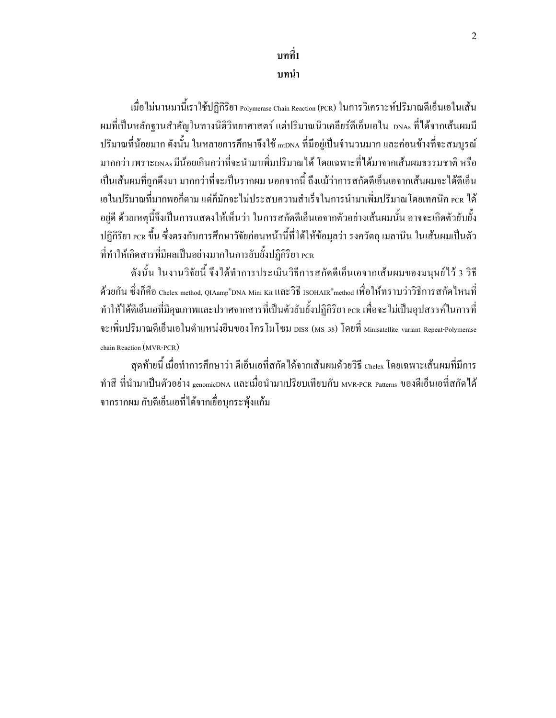# บทที่1

# บทนำ

เมื่อไม่นานมานี้เราใช้ปฏิกิริยา <sub>Polymerase Chain Reaction (PCR)</sub> ในการวิเคราะห์ปริมาณดีเอ็นเอในเส้น .<br>| ผมที่เป็นหลักฐานสำคัญในทางนิติวิทยาศาสตร์ แต่ปริมาณนิวเคลียร์ดีเอ็นเอใน <sub>DNAs</sub> ที่ได้จากเส้นผมมี ปริมาณที่น้อยมาก ดังนั้น ในหลายการศึกษาจึงใช้ <sub>mtDNA</sub> ที่มีอยู่เป็นจำนวนมาก และค่อนข้างที่จะสมบูรณ์ มากกว่า เพราะ<sub>DNAs</sub> มีน้อยเกินกว่าที่จะนำมาเพิ่มปริมาณ<sup>ู</sup>่ใด้ โดยเฉพาะที่ได้มาจากเส้นผมธรรมชาติ หรือ เป็นเส้นผมที่ถูกดึงมา มากกว่าที่จะเป็นรากผม นอกจากนี้ ถึงแม้ว่าการสกัดดีเอ็นเอจากเส้นผมจะ ได้ดีเอ็น เอในปริมาณที่มากพอก็ตาม แต่ก็มักจะ ไม่ประสบความสำเร็จในการนำมาเพิ่มปริมาณ โดยเทคนิค rcr ได้ อยู่ดี ด้วยเหตุนี้จึงเป็นการแสดงให้เห็นว่า ในการสกัดดีเอ็นเอจากตัวอย่างเส้นผมนั้น อาจจะเกิดตัวยับยั้ง  $\ddot{\phantom{a}}$ ปฏิกิริยา rcr ขึ้น ซึ่งตรงกับการศึกษาวัจัยก่อนหน้านี้ที่ได้ให้ข้อมูลว่า รงควัตถุ เมลานิน ในเส้นผมเป็นตัว  $\ddot{\phantom{a}}$ ที่ทำให้เกิดสารที่มีผลเป็นอย่างมากในการยับยั้งปฏิกิริยา rcռ

ดังนั้น ในงานวิจัยนี้ จึงได้ทำการประเมินวิธีการสกัดดีเอ็นเอจากเส้นผมของมนุษย์ไว้ 3 วิธี  $\overline{a}$ ด้วยกัน ซึ่งก็คือ Chelex method, QIAamp®DNA Mini Kit IIนะวิธี ISOHAIR®method เพื่อให้ทราบว่าวิธีการสกัดใหนที่ ทำให้ได้ดีเอ็นเอที่มีคุณภาพและปราศจากสารที่เป็นตัวยับยั้งปฏิกิริยา rcr เพื่อจะไม่เป็นอุปสรรค์ในการที่ จะเพิ่มปริมาณดีเอ็นเอในตำแหน่งขีนของโครโมโซม piss (ms 38) โดยที่ minisatellite variant Repeat-Polymerase chain Reaction (MVR-PCR)

สุดท้ายนี้ เมื่อทำการศึกษาว่า ดีเอ็นเอที่สกัดใด้จากเส้นผมด้วยวิธี <sub>Chelex</sub> โดยเฉพาะเส้นผมที่มีการ ทำสี ที่นำมาเป็นตัวอย่าง <sub>genomicDNA</sub> และเมื่อนำมาเปรียบเทียบกับ <sub>MVR-PCR</sub> p<sub>atterns</sub> ของดีเอ็นเอที่สกัดใด้ จากรากผม กับดีเอ็นเอที่ได้จากเยื่อบุกระพุ้งแก้ม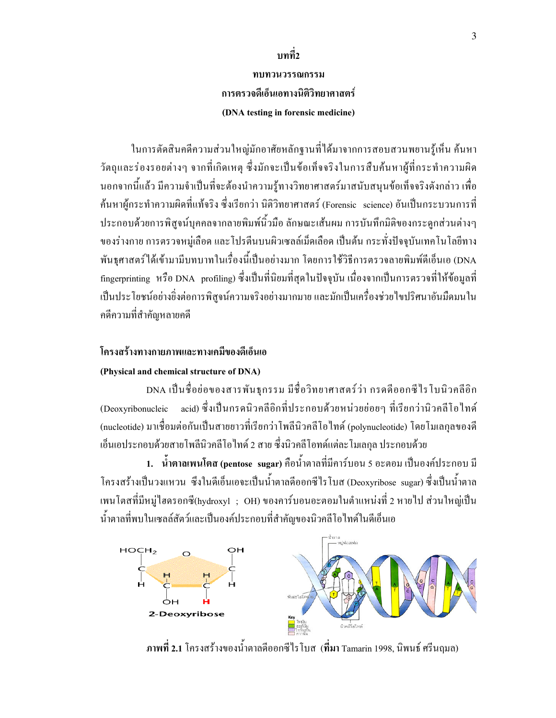# บทที่2

# ทบทวนวรรณกรรม การตรวจดีเอ็นเอทางนิติวิทยาศาสตร์ (DNA testing in forensic medicine)

ในการตัดสินคดีความส่วนใหญ่มักอาศัยหลักฐานที่ได้มาจากการสอบสวนพยานรู้เห็น ค้นหา วัตถุและร่องรอยต่างๆ จากที่เกิดเหตุ ซึ่งมักจะเป็นข้อเท็จจริงในการสืบค้นหาผู้ที่กระทำความผิด นอกจากนี้แล้ว มีความจำเป็นที่จะต้องนำความรู้ทางวิทยาศาสตร์มาสนับสนุนข้อเท็จจริงดังกล่าว เพื่อ ֖֧֧֖֧֖֧֖֧֖֧֧֧֧֧֚֡֝֟֟֟֬֝֬֝֬֝֬֝֬֝֬֝֓֝֬֝֬֝֬֝֬֝֬֝֟֝֬֝֬֝֬֝֬֝֬֝֬֝֬֝֬֝֬֝֬֝֬֝֬֝֬֝<br>֧֪֪֧֧֧֧֧֧֛֚֚֝֝֩ ค้นหาผู้กระทำความผิดที่แท้จริง ซึ่งเรียกว่า นิติวิทยาศาสตร์ (Forensic science) อันเป็นกระบวนการที่ ประกอบค้วยการพิสูจน์บุคคลจากลายพิมพ์นิ้วมือ ลักษณะเส้นผม การบันทึกมิติของกระดูกส่วนต่างๆ ของร่างกาย การตรวจหมู่เลือด และ โปรตีนบนผิวเซลล์เม็ดเลือด เป็นต้น กระทั่งปัจจุบันเทคโนโลยีทาง พันธุศาสตร์ใค้เข้ามามีบทบาทในเรื่องนี้เป็นอย่างมาก โคยการใช้วิธีการตรวจลายพิมพ์คีเอ็นเอ (DNA  $\overline{a}$ fingerprinting หรือ<code>DNA</code> profiling) ซึ่งเป็นที่นิยมที่สุดในปัจจุบัน เนื่องจากเป็นการตรวจที่ให้ข้อมูลที่ เป็นประโยชน์อย่างยิ่งต่อการพิสูจน์ความจริงอย่างมากมาย และมักเป็นเครื่องช่วยใงปริศนาอันมืดมนใน กดีความที่สำคัญหลายคดี

### โครงสร้างทางกายภาพและทางเคมีของดีเอ็นเอ

#### (Physical and chemical structure of DNA)

DNA เป็นชื่อย่อของสารพันธุกรรม มีชื่อวิทยาศาสตร์ว่า กรคคืออกซีไรโบนิวคลีอิก (Deoxyribonucleic กรคนิวคลีอิกที่ประกอบด้วยหน่วยย่อยๆ ที่เรียกว่านิวคลีโอไทด์ (nucleotide) มาเชื่อมต่อกันเป็นสายยาวที่เรียกว่าโพลีนิวคลีโอใทด์ (polynucleotide) โดยโมเลกุลของดี เอ็นเอประกอบด้วยสายโพลีนิวคลีโอไทด์ 2 สาย ซึ่งนิวคลีโอทด์แต่ละโมเลกุล ประกอบด้วย

1. น้ำตาลเพนโตส (pentose sugar) คือน้ำตาลที่มีการ์บอน 5 อะตอม เป็นองค์ประกอบ มี โครงสร้างเป็นวงแหวน ซึ่งในดีเอ็นเอจะเป็นน้ำตาลคืออกซีไรโบส (Deoxyribose sugar) ซึ่งเป็นน้ำตาล เพนโตสที่มีหมู่ไฮดรอกซี(hydroxyl ; OH) ของคาร์บอนอะตอมในตำแหน่งที่ 2 หายไป ส่วนใหญ่เป็น น้ำตาลที่พบในเซลล์สัตว์และเป็นองค์ประกอบที่สำคัญของนิวคลีโอไทด์ในดีเอ็นเอ



ภาพที่ 2.1 โครงสร้างของน้ำตาลดีออกซีไรโบส (ที่มา Tamarin 1998, นิพนธ์ ศรีนฤมล)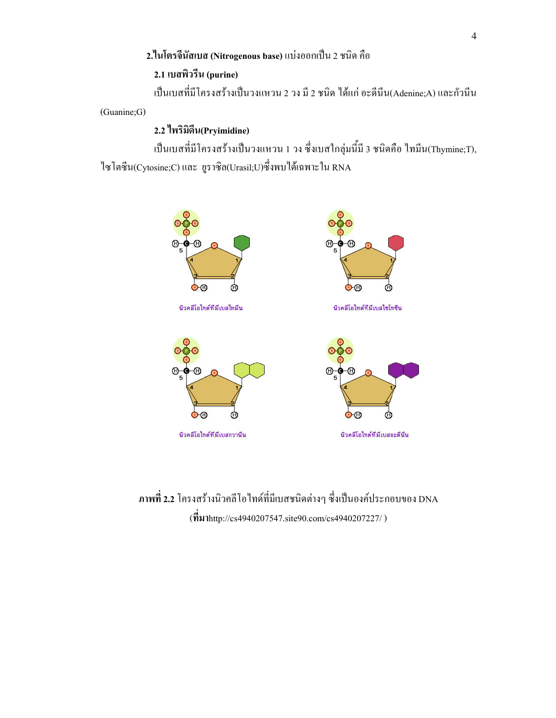### 2.ในโตรจีนัสเบส (Nitrogenous base) แบ่งออกเป็น 2 ชนิด คือ

# 2.1 เบสพิวรีน (purine)

เป็นเบสที่มีโครงสร้างเป็นวงแหวน 2 วง มี 2 ชนิด ได้แก่ อะดีนีน(Adenine;A) และกัวนีน ֚֚֡ ֦֘

(Guanine;G)

### 2.2 ใพริมิดีน(Pryimidine)

เป็นเบสที่มีโครงสร้างเป็นวงแหวน 1 วง ซึ่งเบสใกลุ่มนี้มี 3 ชนิดคือ ไทมีน(Thymine;T), ไซโตซีน(Cytosine;C) และ ยูราซิล(Urasil;U)ซึ่งพบ ได้เฉพาะใน RNA



ภาพที่ 2.2 โครงสร้างนิวคลีโอไทด์ที่มีเบสชนิดต่างๆ ซึ่งเป็นองค์ประกอบของ DNA (http://cs4940207547.site90.com/cs4940207227/ )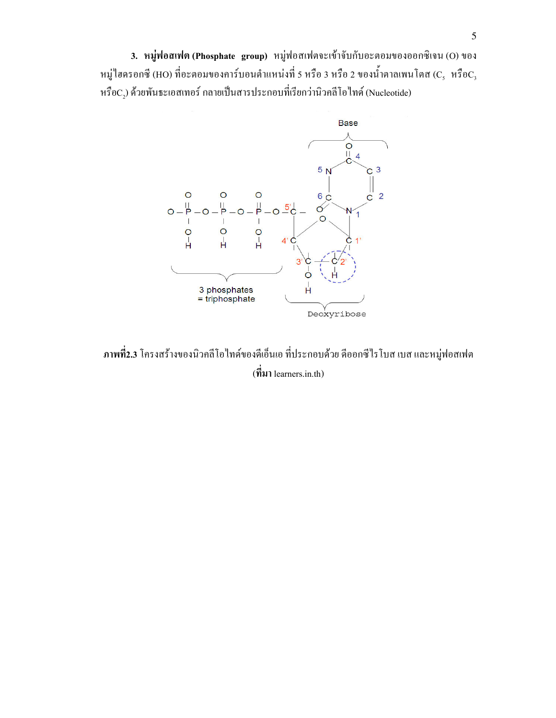3. หมู่ฟอสเฟต (Phosphate group) หมู่ฟอสเฟตจะเข้าจับกับอะตอมของออกซิเจน (O) ของ หมู่ไฮดรอกซี (HO) ที่อะตอมของการ์บอนตำแหน่งที่ 5 หรือ 3 หรือ 2 ของน้ำตาลเพนโตส (C $_{\rm s}$  หรือ $\rm c_{\rm s}$ หรือ $\mathrm{C}_2$ ) ด้วยพันธะเอสเทอร์ กลายเป็นสารประกอบที่เรียกว่านิวคลีโอไทด์ (Nucleotide)



ภาพที่2.3 โครงสร้างของนิวคลีโอไทด์ของดีเอ็นเอ ที่ประกอบด้วย ดีออกซีไรโบส เบส และหมู่ฟอสเฟต  $(\vec{\hat{\eta}})$ มา learners.in.th)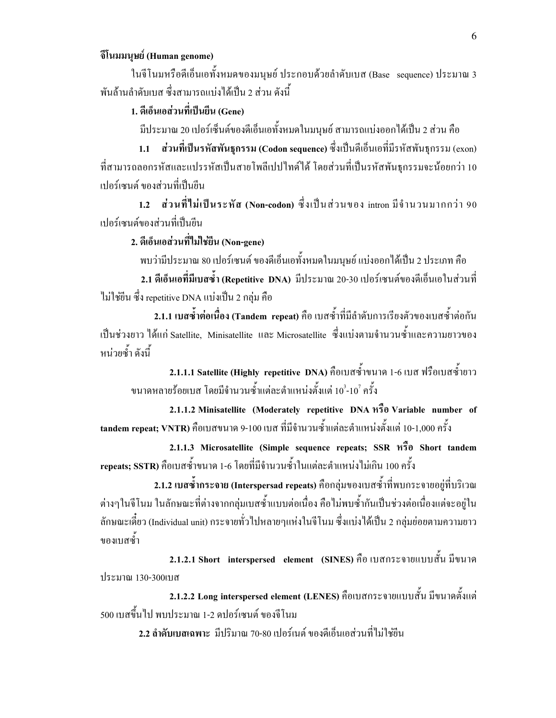### จีโนมมนุษย์ (Human genome)

ในจีโนมหรือดีเอ็นเอทั้งหมดของมนุษย์ ประกอบด้วยลำดับเบส (Base) sequence) ประมาณ 3 พันถ้านถำคับเบส ซึ่งสามารถแบ่งได้เป็น 2 ส่วน ดังนี้

## 1. ดีเอ็นเอส่วนที่เป็นยืน (Gene)

มีประมาณ 20 เปอร์เซ็นต์ของดีเอ็นเอทั้งหมดในมนุษย์ สามารถแบ่งออกได้เป็น 2 ส่วน คือ

1.1 ส่วนที่เป็นรหัสพันธุกรรม (Codon sequence) ซึ่งเป็นดีเอ็นเอที่มีรหัสพันธุกรรม (exon) ที่สามารถลอกรหัสและแปรรหัสเป็นสายโพลีเปปไทด์ได้ โดยส่วนที่เป็นรหัสพันธุกรรมจะน้อยกว่า 10 เปอร์เซนต์ ของส่วนที่เป็นขืน

1.2 ส่วนที่ไม่เป็นระหัส (Non-codon) ซึ่งเป็นส่วนของ intron มีจำนวนมากกว่า 90 เปอร์เซนต์ของส่วนที่เป็นขืน

2. ดีเอ็นเอส่วนที่ไม่ใช่ยืน (Non-gene)

พบว่ามีประมาณ 80 เปอร์เซนต์ ของดีเอ็นเอทั้งหมดในมนุษย์ แบ่งออกได้เป็น 2 ประเภท คือ

2.1 ดีเอ็นเอที่มีเบสซ้ำ (Repetitive DNA) มีประมาณ 20-30 เปอร์เซนต์ของดีเอ็นเอในส่วนที่ ไม่ใช่ขืน ซึ่ง repetitive DNA แบ่งเป็น 2 กลุ่ม คือ

2.1.1 เบสซ์ำต่อเนื่อง (Tandem repeat) กือ เบสซ้ำที่มีลำดับการเรียงตัวของเบสซ้ำต่อกัน เป็นช่วงยาว ได้แก่ Satellite, Minisatellite และ Microsatellite ซึ่งแบ่งตามจำนวนซ้ำและความยาวของ หน่วยซ้ำ ดังนี้ ا المستشفى المستشفى المستشفى المستشفى المستشفى المستشفى المستشفى المستشفى المستشفى المستشفى المستشفى المستشفى Ï

 ${\bf 2.1.1.1}$  Satellite (Highly repetitive DNA) กื้อเบสซ้ำขนาด 1-6 เบส ฟรือเบสซ้ำยาว ขนาดหลายร้อยเบส โดยมีจำนวนซ้ำแต่ละตำแหน่งตั้งแต่ 10 $^{\rm 3}$ -10 $^{\rm 7}$ ครั้ง

2.1.1.2 Minisatellite (Moderately repetitive DNA  $\hat{\pi}$ o Variable number of tandem repeat; VNTR) คือเบสขนาด 9-100 เบส ที่มีจำนวนซ้ำแต่ละตำแหน่งตั้งแต่ 10-1,000 ครั้ง

2.1.1.3 Microsatellite (Simple sequence repeats; SSR หรือ Short tandem repeats; SSTR) คือเบสซ้ำขนาด 1-6 โดยที่มีจำนวนซ้ำในแต่ละตำแหน่งใม่เกิน 100 ครั้ง

2.1.2 เบสซ์ำกระจาย (Interspersad repeats) คือกลุ่มของเบสซ้ำที่พบกระจายอยู่ที่บริเวณ ต่างๆในจีโนม ในลักษณะที่ต่างจากกลุ่มเบสซ้ำแบบต่อเนื่อง คือไม่พบซ้ำกันเป็นช่วงต่อเนื่องแต่จะอยู่ใน ลักษณะเดี๋ยว (Individual unit) กระจายทั่วไปหลายๆแห่งในจีโนม ซึ่งแบ่งใด้เป็น 2 กลุ่มย่อยตามความยาว ของเบสซ้ำ

2.1.2.1 Short interspersed element (SINES) กื่อ เบสกระจายแบบสั้น มีขนาด ประมาณ 130-300เบส

2.1.2.2 Long interspersed element (LENES) กือเบสกระจายแบบสั้น มีขนาดตั้งแต่ 500 เบสขึ้นไป พบประมาณ 1-2 คปอร์เซนต์ ของจีโนม

2.2 ลำดับเบสเฉพาะ มีปริมาณ 70-80 เปอร์เนต์ ของดีเอ็นเอส่วนที่ไม่ใช่ขีน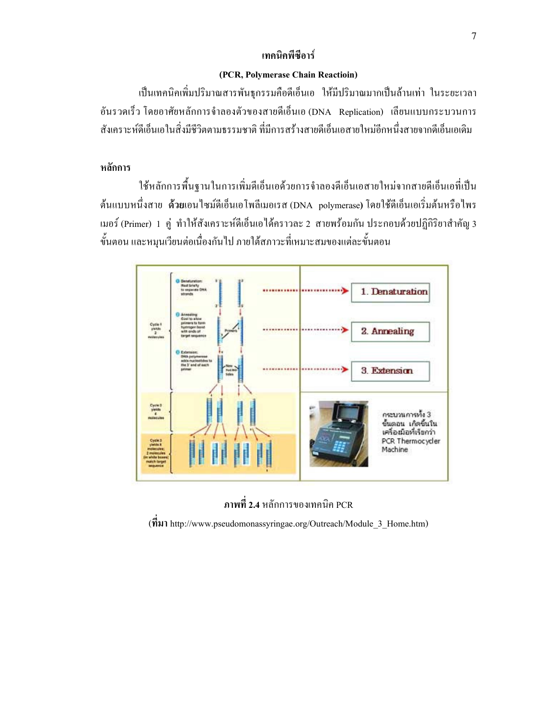#### เทคนิคพี่ซื้อาร์

#### (PCR, Polymerase Chain Reactioin)

เป็นเทคนิคเพิ่มปริมาณสารพันธุกรรมคือดีเอ็นเอ ให้มีปริมาณมากเป็นล้านเท่า ในระยะเวลา อันรวดเร็ว โดยอาศัยหลักการจำลองตัวของสายดีเอี่นเอ (DNA) Replication) เลียนแบบกระบวนการ สังเคราะห์ดีเอ็นเอในสิ่งมีชีวิตตามธรรมชาติ ที่มีการสร้างสายดีเอ็นเอสายใหม่อีกหนึ่งสายจากดีเอ็นเอเดิม

### หลักการ

ใช้หลักการพื้นฐานในการเพิ่มดีเอ็นเอด้วยการจำลองดีเอ็นเอสายใหม่จากสายดีเอ็นเอที่เป็น ต้นแบบหนึ่งสาย ด้วยเอนใซม์ดีเอ็นเอโพลีเมอเรส (DNA polymerase) โดยใช้ดีเอ็นเอเริ่มต้นหรือใพร เมอร์ (Primer) 1 คู่ ทำให้สังเคราะห์ดีเอ็นเอได้คราวละ 2 สายพร้อมกัน ประกอบด้วยปฏิกิริยาสำคัญ 3 ขั้นตอน และหมุนเวียนต่อเนื่องกันไป ภายใต้สภาวะที่เหมาะสมของแต่ละขั้นตอน



ภาพที่ 2.4 หลักการของเทคนิค PCR ( http://www.pseudomonassyringae.org/Outreach/Module\_3\_Home.htm)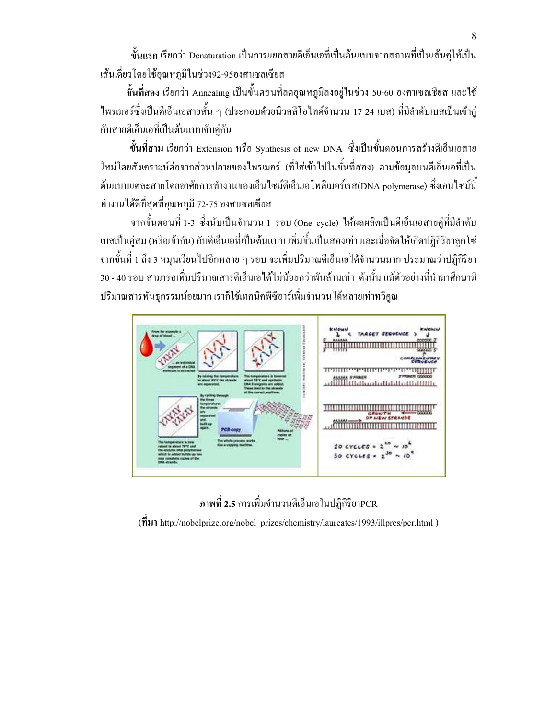ขั้นแรก เรียกว่า Denaturation เป็นการแยกสายดีเอ็นเอที่เป็นต้นแบบจากสภาพที่เป็นเส้นคู่ให้เป็น เส้นเดี่ยวโดยใช้อุณหภูมิในช่วง92-95องศาเซลเซียส

ขั้นที่สอง เรียกว่า Annealing เป็นขั้นตอนที่ลดอุณหภูมิลงอยู่ในช่วง 50-60 องศาเซลเซียส และใช้ ไพรเมอร์ซึ่งเป็นดีเอ็นเอสายสั้น ๆ (ประกอบด้วยนิวกลีโอไทด์จำนวน 17-24 เบส) ที่มีลำดับเบสเป็นเข้าคู่ กับสายดีเอ็นเอที่เป็นต้นแบบจับคู่กัน

ขั้นที่สาม เรียกว่า Extension หรือ Synthesis of new DNA ซึ่งเป็นขั้นตอนการสร้างดีเอ็นเอสาย ใหม่โดยสังเคราะห์ต่อจากส่วนปลายของใพรเมอร์ (ที่ใส่เข้าไปในขั้นที่สอง) ตามข้อมูลบนดีเอ็นเอที่เป็น ต้นแบบแต่ละสายโดยอาศัยการทำงานของเอ็นใซม์ดีเอ็นเอโพลิเมอร์เรส(DNA polymerase) ซึ่งเอนใซม์นี้ ทำงาน ได้ดีที่สุดที่อุณหภูมิ 72-75 องศาเซลเซียส

จากขั้นตอนที่ 1-3 ซึ่งนับเป็นจำนวน 1 รอบ (One cycle) ให้ผลผลิตเป็นดีเอ็นเอสายคู่ที่มีลำดับ เบสเป็นคู่สม (หรือเข้ากัน) กับดีเอ็นเอที่เป็นต้นแบบ เพิ่มขึ้นเป็นสองเท่า และเมื่อจัดให้เกิดปฏิกิริยาลูกโซ่ จากขั้นที่ 1 ถึง 3 หมุนเวียน ไปอีกหลาย ๆ รอบ จะเพิ่มปริมาณคีเอ็นเอ ได้จำนวนมาก ประมาณว่าปฏิกิริยา 30 - 40 รอบ สามารถเพิ่มปริมาณสารดีเอ็นเอได้ไม่น้อยกว่าพันล้านเท่า ดังนั้น แม้ตัวอย่างที่นำมาศึกษามี ปริมาณสารพันธุกรรมน้อยมาก เราก็ใช้เทคนิคพีซีอาร์เพิ่มจำนวนใด้หลายเท่าทวีคูณ



ภาพที่ 2.5 การเพิ่มจำนวนดีเอ็นเอในปฏิกิริยาPCR  $(\vec{\hat{n}}$ 31 http://nobelprize.org/nobel\_prizes/chemistry/laureates/1993/illpres/pcr.html )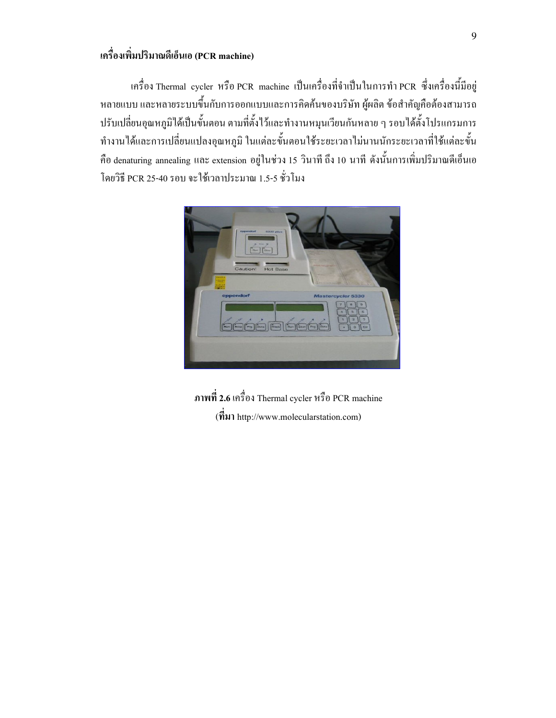## เครื่องเพิ่มปริมาณดีเอ็นเอ (PCR machine)

เครื่อง Thermal cycler หรือ PCR machine เป็นเครื่องที่จำเป็นในการทำ PCR ซึ่งเครื่องนี้มีอยู่  $\ddot{\phantom{a}}$ หลายแบบ และหลายระบบขึ้นกับการออกแบบและการคิดค้นของบริษัท ผู้ผลิต ข้อสำคัญคือต้องสามารถ ปรับเปลี่ยนอุณหภูมิใด้เป็นขั้นตอน ตามที่ตั้งไว้และทำงานหมุนเวียนกันหลาย ๆ รอบได้ตั้งโปรแกรมการ ทำงานได้และการเปลี่ยนแปลงอุณหภูมิ ในแต่ละขั้นตอนใช้ระยะเวลาไม่นานนักระยะเวลาที่ใช้แต่ละขั้น กืือ denaturing annealing และ extension อยู่ในช่วง 15 วินาที ถึง 10 นาที ดังนั้นการเพิ่มปริมาณคีเอ็นเอ โดยวิธี PCR 25-40 รอบ จะใช้เวลาประมาณ 1.5-5 ชั่วโมง



67 2.6 !@ Thermal cycler B! PCR machine  $(\vec{\hat{\eta}})$  http://www.molecularstation.com)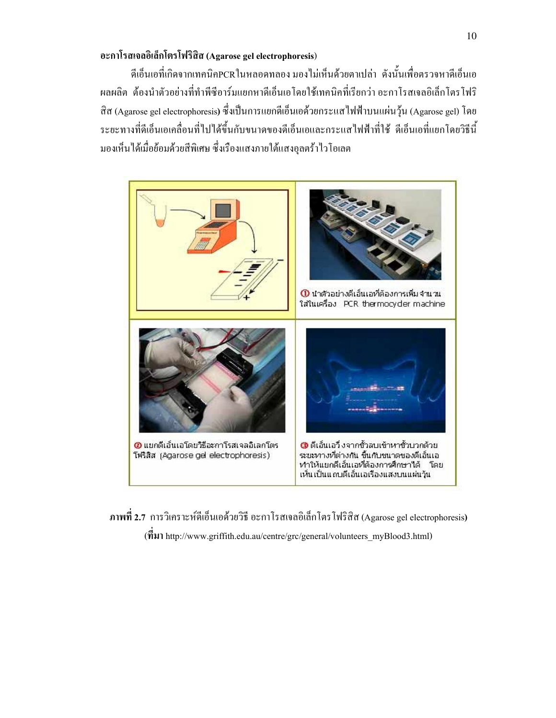### อะกาโรสเจลอิเล็กโตรโฟริสิส (Agarose gel electrophoresis)

ดีเอ็นเอที่เกิดจากเทคนิคPCRในหลอดทลอง มองไม่เห็นด้วยตาเปล่า ดังนั้นเพื่อตรวจหาดีเอ็นเอ ผลผลิต ต้องนำตัวอย่างที่ทำพีซีอาร์มแยกหาดีเอ็นเอโคยใช้เทคนิคที่เรียกว่า อะกาโรสเจลอิเล็กโตรโฟริ สิส (Agarose gel electrophoresis) ซึ่งเป็นการแยกดีเอ็นเอด้วยกระแส ใฟฟ้าบนแผ่นวุ้น (Agarose gel) โดย ระยะทางที่ดีเอ็นเอเคลื่อนที่ไปได้ขึ้นกับขนาคของดีเอ็นเอและกระแสไฟฟ้าที่ใช้ ดีเอ็นเอที่แยกโคยวิธีนี้ มองเห็น ได้เมื่อย้อมด้วยสีพิเศษ ซึ่งเรืองแสงภายใต้แสงอุลตร้าไวโอเลต



ภาพที่ 2.7 การวิเคราะห์ดีเอ็นเอด้วยวิธี อะกาโรสเจลอิเล็กโตรโฟริสิส (Agarose gel electrophoresis)  $(\vec{\hat{\eta}})$  http://www.griffith.edu.au/centre/grc/general/volunteers\_myBlood3.html)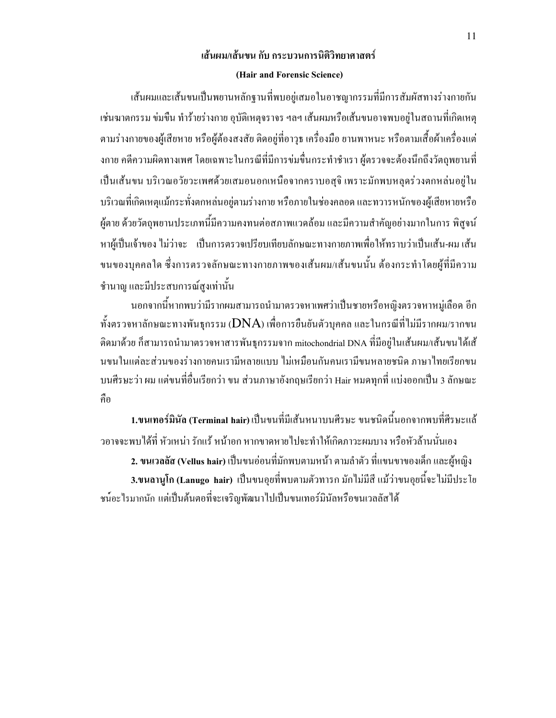# เส้นผม/เส้นขน กับ กระบวนการนิติวิทยาศาสตร์ (Hair and Forensic Science)

เส้นผมและเส้นขนเป็นพยานหลักฐานที่พบอยู่เสมอในอาชญากรรมที่มีการสัมผัสทางร่างกายกัน เช่นฆาตกรรม ข่มขืน ทำร้ายร่างกาย อุบัติเหตุจราจร ฯลฯ เส้นผมหรือเส้นขนอาจพบอยู่ในสถานที่เกิดเหตุ ตามร่างกายของผู้เสียหาย หรือผู้ต้องสงสัย ติดอยู่ที่อาวุธ เครื่องมือ ยานพาหนะ หรือตามเสื้อผ้าเครื่องแต่ งกาย คดีความผิดทางเพศ โดยเฉพาะในกรณีที่มีการข่มขื่นกระทำชำเรา ผู้ตรวจจะต้องนึกถึงวัตถุพยานที่ เป็นเส้นขน บริเวณอวัยวะเพศด้วยเสมอนอกเหนือจากคราบอสุจิ เพราะมักพบหลุดร่วงตกหล่นอยู่ใน บริเวณที่เกิดเหตุแม้กระทั่งตกหล่นอยู่ตามร่างกาย หรือภายในช่องกลอด และทวารหนักของผู้เสียหายหรือ ผู้ตาย ด้วยวัตถุพยานประเภทนี้มีความคงทนต่อสภาพแวดล้อม และมีความสำคัญอย่างมากในการ พิสูจน์  $\ddot{\phantom{a}}$ หาผู้เป็นเจ้าของ ไม่ว่าจะ เป็นการตรวจเปรียบเทียบลักษณะทางกายภาพเพื่อให้ทราบว่าเป็นเส้น-ผม เส้น ขนของบุคคลใด ซึ่งการตรวจลักษณะทางกายภาพของเส้นผม/เส้นขนนั้น ต้องกระทำโดยผู้ที่มีความ ชำนาญ และมีประสบการณ์สูงเท่านั้น

นอกจากนี้หากพบว่ามีรากผมสามารถนำมาตรวจหาเพศว่าเป็นชายหรือหญิงตรวจหาหมู่เลือด อีก ֖֖֪֪֪ׅ֖֪֪ׅ֚֚֚֚֚֚֚֚֡֝֝֝֝֝֝֬֝֬֝֬֝֬֝֬֝֬֝֟**֟** ทั้งตรวจหาลักษณะทางพันธุกรรม ( $\mathbf{DNA}$ ) เพื่อการยืนยันตัวบุคคล และในกรณีที่ไม่มีรากผม/รากขน ติดมาด้วย ก็สามารถนำมาตรวจหาสารพันธุกรรมจาก mitochondrial DNA ที่มีอยู่ในเส้นผม/เส้นขน ได้เส้ นขนในแต่ละส่วนของร่างกายคนเรามีหลายแบบ ไม่เหมือนกันคนเรามีขนหลายชนิด ภาษาไทยเรียกขน บนศีรษะว่า ผม แต่ขนที่อื่นเรียกว่า ขน ส่วนภาษาอังกฤษเรียกว่า Hair หมดทุกที่ แบ่งออกเป็น 3 ลักษณะ กือ

1.ขนเทอร์มินัล (Terminal hair) เป็นขนที่มีเส้นหนาบนศีรษะ ขนชนิดนี้นอกจากพบที่ศีรษะแล้ ֚֚֡<br>֧֚֝<br>֧֚֚֝ วอาจจะพบได้ที่ หัวเหน่า รักแร้ หน้าอก หากขาดหายไปจะทำให้เกิดภาวะผมบาง หรือหัวล้านนั่นเอง

2. ขนเวลลัส (Vellus hair) เป็นขนอ่อนที่มักพบตามหน้า ตามลำตัว ที่แขนขาของเด็ก และผู้หญิง

3.ขนลานูโก (Lanugo hair) เป็นขนอุยที่พบตามตัวทารก มักใม่มีสี แม้ว่าขนอุยนี้จะใม่มีประโย ֖֖֖֖֖֖֖֖֖֖ׅ֖ׅ֖ׅ֖ׅ֖֧֪֪ׅ֦֧֪֪֪֪֦֧֦֧֪֪֪֪֪֪֪֪֦֧֦֧֧֦֧֪֪֪֪֪֪֪֪֪֪֪֪֪֪֪֪֪֪֪֪֪֪֪֪֪֪֪֪֪֪֪֪֪֪֚֚֚֚֚֚֚֚֚֚֚֚֚֚֚֚֚֚֚֚֡֬֝֝֝֝֝֬֞ ชน์อะไรมากนัก แต่เป็นต้นตอที่จะเจริญพัฒนาไปเป็นขนเทอร์มินัลหรือขนเวลลัสได้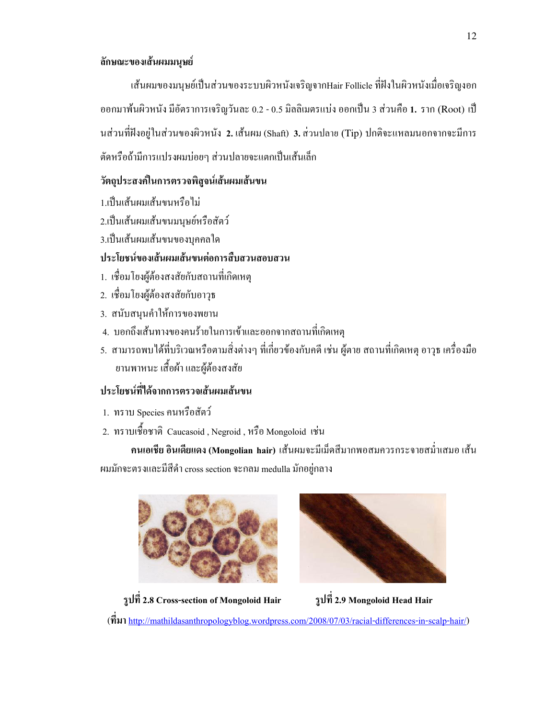### ด้กษณะของเส้นผมมนุษย์

เส้นผมของมนุษย์เป็นส่วนของระบบผิวหนังเจริญจากHair Follicle ที่ฝังในผิวหนังเมื่อเจริญงอก ออกมาพ้นผิวหนัง มีอัตราการเจริญวันละ 0.2 - 0.5 มิลลิเมตรแบ่ง ออกเป็น 3 ส่วนคือ 1. ราก (Root) เป็ นส่วนที่ฝังอยู่ในส่วนของผิวหนัง 2. เส้นผม (Shaft) 3. ส่วนปลาย (Tip) ปกติจะแหลมนอกจากจะมีการ ตัดหรือถ้ามีการแปรงผมบ่อยๆ ส่วนปลายจะแตกเป็นเส้นเล็ก

### ีวัตถุประสงค์ในการตรวจพิสูจน์เส้นผมเส้นขน

- 1.เป็นเส้นผมเส้นขนหรือไม่
- 2.เป็นเส้นผมเส้นขนมนุษย์หรือสัตว์
- 3.เป็นเส้นผมเส้นขนของบุคคลใด

### ประโยชน์ของเส้นผมเส้นขนต่อการสืบสวนสอบสวน

- 1. เชื่อมโยงผู้ต้องสงสัยกับสถานที่เกิดเหตุ
- 2. เชื่อมโยงผู้ต้องสงสัยกับอาวุธ
- 3. สนับสนุนคำให้การของพยาน
- 4. บอกถึงเส้นทางของคนร้ายในการเข้าและออกจากสถานที่เกิดเหตุ
- 5. สามารถพบได้ที่บริเวณหรือตามสิ่งต่างๆ ที่เกี่ยวข้องกับกดี เช่น ผู้ตาย สถานที่เกิดเหตุ อาวุธ เกรื่องมือ ยานพาหนะ เสื้อผ้า และผู้ต้องสงสัย

# ประโยชน์ที่ได้จากการตรวจเส้นผมเส้นขน

- 1. ทราบ Species คนหรือสัตว์
- 2. ทราบเชื้อชาติ Caucasoid , Negroid , หรือ Mongoloid เช่น

คนเอเชีย อินเดียแดง (Mongolian hair) เส้นผมจะมีเม็ดสีมากพอสมควรกระจายสม่ำเสมอ เส้น ผมมักจะตรงและมีสีดำ cross section จะกลม medulla มักอยู่กลาง





รูปที่ 2.8 Cross-section of Mongoloid Hair 5ปที่ 2.9 Mongoloid Head Hair

 $\left( \vec{n}$   $\mu$  http://mathildasanthropologyblog.wordpress.com/2008/07/03/racial-differences-in-scalp-hair/)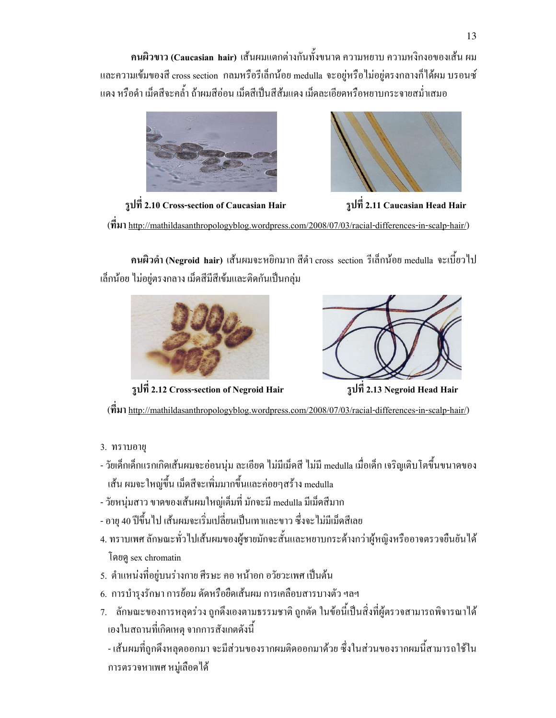คนผิวขาว (Caucasian hair) เส้นผมแตกต่างกันทั้งขนาด ความหยาบ ความหงิกงอของเส้น ผม และความเข้มของสี cross section กลมหรือรีเล็กน้อย medulla จะอยู่หรือ ไม่อยู่ตรงกลางก็ได้ผม บรอนซ์ แดง หรือดำ เม็ดสีจะกล้ำ ถ้าผมสีอ่อน เม็ดสีเป็นสีส้มแดง เม็ดละเอียดหรือหยาบกระจายสม่ำเสมอ





รูปที่ 2.10 Cross-section of Caucasian Hair 5 หนัง 2.11 Caucasian Head Hair

( http://mathildasanthropologyblog.wordpress.com/2008/07/03/racial-differences-in-scalp-hair/)

คนผิวดำ (Negroid hair) เส้นผมจะหยิกมาก สีดำ cross section รีเล็กน้อย medulla จะเบี้ยว ไป เล็กน้อย ไม่อยู่ตรงกลาง เม็ดสีมีสีเข้มและติดกันเป็นกลุ่ม



รูปที่ 2.12 Cross-section of Negroid Hair 511 กิ 2.13 Negroid Head Hair



 $(\vec{\eta}$ <sup>3</sup> http://mathildasanthropologyblog.wordpress.com/2008/07/03/racial-differences-in-scalp-hair/)

- 3. ทราบอายุ
- วัยเด็กเด็กแรกเกิดเส้นผมจะอ่อนนุ่ม ละเอียด ไม่มีเม็ดสี ไม่มี medulla เมื่อเด็ก เจริญเติบโตขึ้นขนาดของ เส้น ผมจะใหญ่ขึ้น เม็ดสีจะเพิ่มมากขึ้นและค่อยๆสร้าง medulla
- วัยหนุ่มสาว ขาดของเส้นผมใหญ่เต็มที่ มักจะมี medulla มีเม็ดสีมาก
- อายุ 40 ปีขึ้นไป เส้นผมจะเริ่มเปลี่ยนเป็นเทาและขาว ซึ่งจะไม่มีเม็คสีเลย
- 4. ทราบเพศ ลักษณะทั่วไปเส้นผมของผู้ชายมักจะสั้นและหยาบกระด้างกว่าผู้หญิงหรืออาจตรวจยืนยันได้ โดยดู sex chromatin
- 5. ตำแหน่งที่อยู่บนร่างกาย ศีรษะ คอ หน้าอก อวัยวะเพศ เป็นต้น
- 6. การบำรุงรักษา การย้อม ดัดหรือขืดเส้นผม การเคลือบสารบางตัว ฯลฯ
- 7. ลักษณะของการหลุดร่วง ถูกดึงเองตามธรรมชาติ ถูกตัด ในข้อนี้เป็นสิ่งที่ผู้ตรวจสามารถพิจารณาได้ ĺ เองในสถานที่เกิดเหตุ จากการสังเกตดังนี้

- เส้นผมที่ถูกดึงหลุดออกมา จะมีส่วนของรากผมติดออกมาด้วย ซึ่งในส่วนของรากผมนี้สามารถใช้ใน  $\ddot{\phantom{a}}$ การตรวจหาเพศ หมู่เลือดได้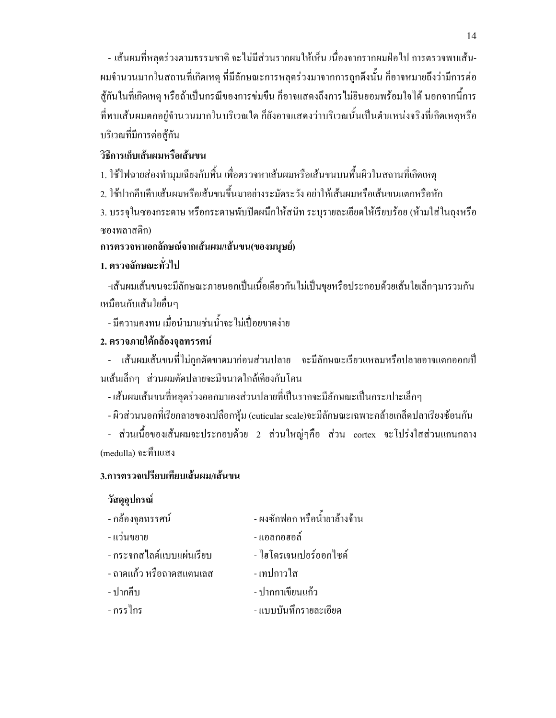- เส้นผมที่หลุดร่วงตามธรรมชาติ จะไม่มีส่วนรากผมให้เห็น เนื่องจากรากผมฝ่อไป การตรวจพบเส้น-ผมจำนวนมากในสถานที่เกิดเหตุ ที่มีลักษณะการหลุดร่วงมาจากการถูกดึงนั้น ก็อาจหมายถึงว่ามีการต่อ สู้กันในที่เกิดเหตุ หรือถ้าเป็นกรณีของการข่มขืน ก็อาจแสดงถึงการใม่ยินยอมพร้อมใจได้ นอกจากนี้การ ֖֖֖֖֖֖֪֪ׅ֦֪֪֦֪֪֦֖֧֪֪֪֦֖֧֪֪֪֦֖֧֦֧֖֧֖֧֪֪֪֪֪֪֪֪֦֧֦֧֦֧֦֧֦֧֦֧֚֚֚֚֚֚֚֚֚֚֚֚֚֚֡֬֝֝֟֝֝֬֝֟֝֟֝֝֬֞֞֝֬֞֞֝ ที่พบเส้นผมตกอยู่จำนวนมากในบริเวณใด กียังอาจแสดงว่าบริเวณนั้นเป็นตำแหน่งจริงที่เกิดเหตุหรือ บริเวณที่มีการต่อสู้กัน

### วิธีการเก็บเส้นผมหรือเส้นขน

1. ใช้ใฟฉายส่องทำมุมเฉียงกับพื้น เพื่อตรวจหาเส้นผมหรือเส้นขนบนพื้นผิวในสถานที่เกิดเหตุ

2. ใช้ปากคีบคีบเส้นผมหรือเส้นขนขึ้นมาอย่างระมัคระวัง อย่าให้เส้นผมหรือเส้นขนแตกหรือหัก

3. บรรจุในซองกระดาษ หรือกระดาษพับปิดผนึกให้สนิท ระบุรายละเอียดให้เรียบร้อย (ห้ามใส่ในถุงหรือ ซองพลาสติก)

## ึการตรวจหาเอกลักษณ์จากเส้นผม/เส้นขน(ของมนุษย์)

# 1. ตรวจลักษณะทั่วไป

-เส้นผมเส้นขนจะมีลักษณะภายนอกเป็นเนื้อเดียวกันไม่เป็นขุยหรือประกอบด้วยเส้นใยเล็กๆมารวมกัน เหมือนกับเส้นใยอื่นๆ

- มีความคงทน เมื่อนำมาแช่นน้ำจะ ไม่เปื่อยขาดง่าย

# 2. ตรวจภายใต้กล้องจุลทรรศน์

- เส้นผมเส้นขนที่ไม่ถูกตัดขาดมาก่อนส่วนปลาย จะมีลักษณะเรียวแหลมหรือปลายอาจแตกออกเป็ นเส้นเล็กๆ ส่วนผมตัดปลายจะมีขนาดใกล้เคียงกับโคน

- เส้นผมเส้นขนที่หลุดร่วงออกมาเองส่วนปลายที่เป็นรากจะมีลักษณะเป็นกระเปาะเล็กๆ

- ผิวส่วนนอกที่เรียกลายของเปลือกหุ้ม (cuticular scale)จะมีลักษณะเฉพาะคล้ายเกล็ดปลาเรียงซ้อนกัน

- ส่วนเนื้อของเส้นผมจะประกอบด้วย 2 ส่วนใหญ่ๆกือ ส่วน cortex จะโปร่งใสส่วนแกนกลาง (medulla) จะทึบแสง

### 3.การตรวจเปรียบเทียบเส้นผม/เส้นขน

### วัสดุอุปกรณ์

| - กล้องจุลทรรศน์         | - ผงซักฟอก หรือน้ำยาล้างจ้าน |
|--------------------------|------------------------------|
| - แว่นขยาย               | - แอลกอฮอล์                  |
| - กระจกสไลด์แบบแผ่นเรียบ | - ใฮโครเจนเปอร์ออกไซด์       |
| - ถาดแก้ว หรือถาดสแตนเลส | - เทปกาวใส                   |
| - ปากกีบ                 | - ปากกาเขียนแก้ว             |
| - กรรไกร                 | - แบบบันทึกรายละเอียด        |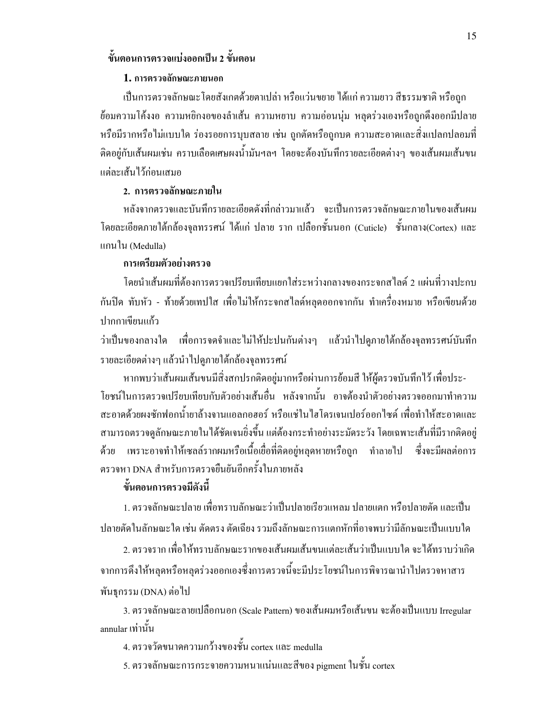### ขั้นตอนการตรวจแบ่งออกเป็น 2 ขั้นตอน

#### 1. การตรวจลักษณะภายนอก

เป็นการตรวจลักษณะโดยสังเกตด้วยตาเปล่า หรือแว่นขยาย ได้แก่ ความยาว สีธรรมชาติ หรือถูก ข้อมกวามโค้งงอ ความหยิกงอของลำเส้น ความหยาบ ความอ่อนนุ่ม หลุดร่วงเองหรือถูกดึงออกมีปลาย หรือมีรากหรือไม่แบบใด ร่องรอยการบุบสลาย เช่น ถูกตัดหรือถูกบด ความสะอาดและสิ่งแปลกปลอมที่ ติดอยู่กับเส้นผมเช่น คราบเลือดเศษผงน้ำมันฯลฯ โดยจะต้องบันทึกรายละเอียดต่างๆ ของเส้นผมเส้นขน แต่ละเส้นไว้ก่อนเสมอ

### 2. การตรวจลักษณะภายใน

หลังจากตรวจและบันทึกรายละเอียดดังที่กล่าวมาแล้ว จะเป็นการตรวจลักษณะภายในของเส้นผม โดยละเอียดภายใต้กล้องจุลทรรศน์ ใด้แก่ ปลาย ราก เปลือกชั้นนอก (Cuticle) ชั้นกลาง(Cortex) และ แกนใน (Medulla)

### การเตรียมตัวอย่างตรวจ

โดยนำเส้นผมที่ด้องการตรวจเปรียบเทียบแยกใส่ระหว่างกลางของกระจกสไลด์ 2 แผ่นที่วางปะกบ กันปิด ทับหัว - ท้ายด้วยเทปใส เพื่อไม่ให้กระจกสไลด์หลุดออกจากกัน ทำเครื่องหมาย หรือเขียนด้วย ปากกาเขียนแก้ว

ว่าเป็นของกลางใด เพื่อการจดจำและไม่ให้ปะปนกันต่างๆ แล้วนำไปดูภายใต้กล้องจุลทรรศน์บันทึก รายละเอียดต่างๆ แล้วนำไปดูภายใต้กล้องจุลทรรศน์  $\ddot{\phantom{a}}$ 

หากพบว่าเส้นผมเส้นขนมีสิ่งสกปรกติดอยู่มากหรือผ่านการย้อมสี ให้ผู้ตรวจบันทึกไว้ เพื่อประ-โยชน์ในการตรวจเปรียบเทียบกับตัวอย่างเส้นอื่น หลังจากนั้น อาจต้องนำตัวอย่างตรวจออกมาทำความ สะอาคค้วยผงซักฟอกน้ำยาล้างจานแอลกอฮอร์ หรือแช่ในไฮโครเจนเปอร์ออกใซค์ เพื่อทำให้สะอาคและ สามารถตรวจดูลักษณะภายในได้ชัดเจนยิ่งขึ้น แต่ต้องกระทำอย่างระมัดระวัง โดยเฉพาะเส้นที่มีรากติดอยู่ ด้วย เพราะอาจทำให้เซลล์รากผมหรือเนื้อเยื่อที่ติดอยู่หลุดหายหรือถูก ทำลายไป ซึ่งจะมีผลต่อการ ตรวจหา DNA สำหรับการตรวจขื่นยันอีกครั้งในภายหลัง

### ้ขั้นตอนการตรวจมีดังนี้

1. ตรวจลักษณะปลาย เพื่อทราบลักษณะว่าเป็นปลายเรียวแหลม ปลายแตก หรือปลายตัด และเป็น ปลายตัดในลักษณะใด เช่น ตัดตรง ตัดเฉียง รวมถึงลักษณะการแตกหักที่อาจพบว่ามีลักษณะเป็นแบบใด

2. ตรวจราก เพื่อให้ทราบลักษณะรากของเส้นผมเส้นขนแต่ละเส้นว่าเป็นแบบใด จะได้ทราบว่าเกิด จากการดึงให้หลุดหรือหลุดร่วงออกเองซึ่งการตรวจนี้จะมีประโยชน์ในการพิจารณานำไปตรวจหาสาร  $\ddot{\phantom{a}}$ พันธุกรรม (DNA) ต่อไป

3. ตรวจลักษณะลายเปลือกนอก (Scale Pattern) ของเส้นผมหรือเส้นขน จะต้องเป็นแบบ Irregular annular เท่านั้น

4. ตรวจวัดขนาดความกว้างของชั้น cortex และ medulla

5. ตรวจลักษณะการกระจายความหนาแน่นและสีของ pigment ในชั้น cortex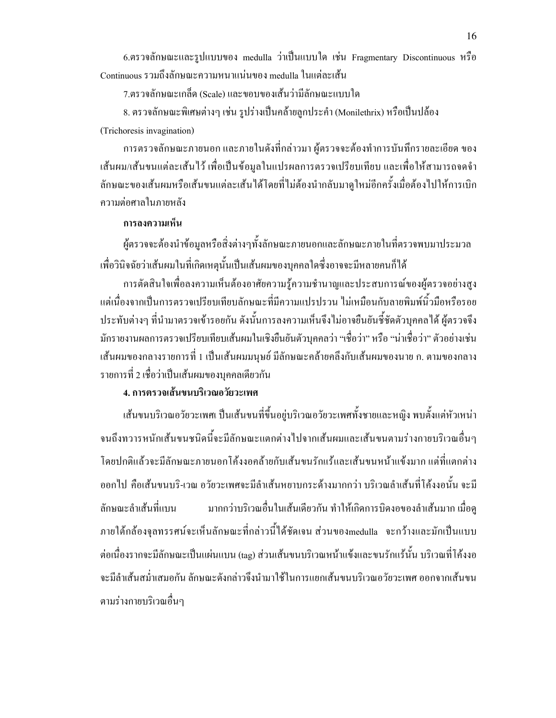6.ตรวจลักษณะและรูปแบบของ medulla ว่าเป็นแบบใด เช่น Fragmentary Discontinuous หรือ Continuous รวมถึงลักษณะความหนาแน่นของ medulla ในแต่ละเส้น

7.ตรวจลักษณะเกล็ด (Scale) และขอบของเส้นว่ามีลักษณะแบบใด

8. ตรวจลักษณะพิเศษต่างๆ เช่น รูปร่างเป็นคล้ายลูกประคำ (Monilethrix) หรือเป็นปล้อง (Trichoresis invagination)

การตรวจลักษณะภายนอก และภายในดังที่กล่าวมา ผู้ตรวจจะต้องทำการบันทึกรายละเอียด ของ เส้นผม/เส้นขนแต่ละเส้นไว้ เพื่อเป็นข้อมูลในแปรผลการตรวจเปรียบเทียบ และเพื่อให้สามารถจดจำ ลักษณะของเส้นผมหรือเส้นขนแต่ละเส้นใด้โดยที่ไม่ต้องนำกลับมาดูใหม่อีกครั้งเมื่อต้องไปให้การเบิก ความต่อศาลในภายหลัง

#### การลงความเห็น

ผู้ตรวจจะต้องนำข้อมูลหรือสิ่งต่างๆทั้งลักษณะภายนอกและลักษณะภายในที่ตรวจพบมาประมวล เพื่อวินิจฉัยว่าเส้นผมในที่เกิดเหตุนั้นเป็นเส้นผมของบุคคลใดซึ่งอาจจะมีหลายคนก็ได้

การตัดสินใจเพื่อลงความเห็นต้องอาศัยความรู้ความชำนาญและประสบการณ์ของผู้ตรวจอย่างสูง 8IH-!@\_-I D? D9^? @ 8- HB!-D9 \\-!B! ประทับต่างๆ ที่นำมาตรวจเข้ารอยกัน ดังนั้นการลงความเห็นจึงไม่อาจยืนยันซึ่ชัดตัวบุคคลได้ ผู้ตรวจจึง มักรายงานผลการตรวจเปรียบเทียบเส้นผมในเชิงยืนยันตัวบุคคลว่า "เชื่อว่า" หรือ "น่าเชื่อว่า" ตัวอย่างเช่น เส้นผมของกลางรายการที่ 1 เป็นเส้นผมมนุษย์ มีลักษณะคล้ายคลึงกับเส้นผมของนาย ก. ตามของกลาง รายการที่ 2 เชื่อว่าเป็นเส้นผมของบุคคลเดียวกัน

### 4. การตรวจเส้นขนบริเวณอวัยวะเพศ

เส้นขนบริเวณอวัยวะเพศเ ปืนเส้นขนที่ขึ้นอยู่บริเวณอวัยวะเพศทั้งชายและหญิง พบตั้งแต่หัวเหน่า จนถึงทวารหนักเส้นขนชนิดนี้จะมีลักษณะแตกต่างไปจากเส้นผมและเส้นขนตามร่างกายบริเวณอื่นๆ โดยปกติแล้วจะมีลักษณะภายนอกโค้งงอคล้ายกับเส้นขนรักแร้และเส้นขนหน้าแข้งมาก แต่ที่แตกต่าง ออกใป คือเส้นขนบริ-เวณ อวัยวะเพศจะมีลำเส้นหยาบกระด้างมากกว่า บริเวณลำเส้นที่โค้งงอนั้น จะมี ลักษณะลำเส้นที่แบน มากกว่าบริเวณอื่นในเส้นเดียวกัน ทำให้เกิดการบิดงอของลำเส้นมาก เมื่อดู ภายใต้กล้องจุลทรรศน์จะเห็นลักษณะที่กล่าวนี้ได้ชัดเจน ส่วนของmedulla จะกว้างและมักเป็นแบบ ֪֪֪ׅ֪֪֦֖֖֖֪֪֦֖֪֦֖֪֪֦֖֧֦֖֧֖֖֚֚֬֝֟֟֟֟֟֟֬֝֟֝֬֝֬֝֟֝֟֓֝֬֝֬֝֬֝֟֝֝֬֝֝֬֝֬֝֬֝֬֝֬֝֬֝֬֝֬֝֬֝֬ ต่อเนื่องรากจะมีลักษณะเป็นแผ่นแบน (tag) ส่วนเส้นขนบริเวณหน้าแข้งและขนรักแร้นั้น บริเวณที่โค้งงอ จะมีลำเส้นสม่ำเสมอกัน ลักษณะดังกล่าวจึงนำมาใช้ในการแยกเส้นขนบริเวณอวัยวะเพศ ออกจากเส้นขน ตามร่างกายบริเวณอื่นๆ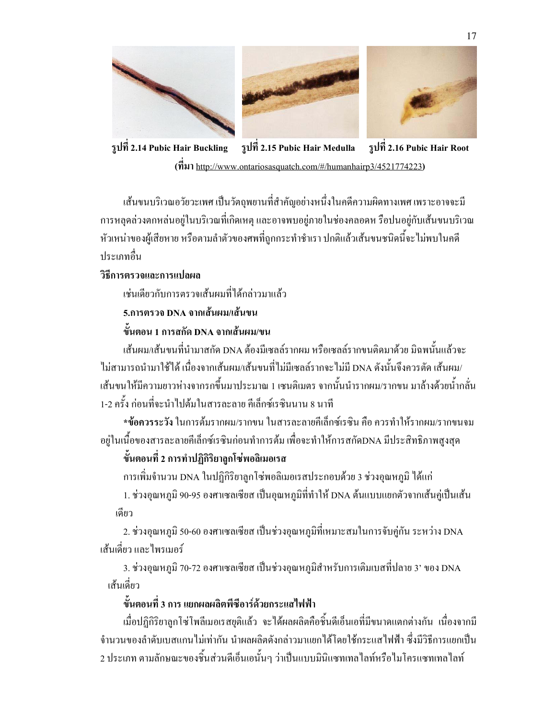





รูปที่ 2.14 Pubic Hair Buckling รูปที่ 2.15 Pubic Hair Medulla รูปที่ 2.16 Pubic Hair Root  $(n$ <sub>1</sub>) http://www.ontariosasquatch.com/#/humanhairp3/4521774223)

เส้นขนบริเวณอวัยวะเพศ เป็นวัตถุพยานที่สำคัญอย่างหนึ่งในคดีความผิดทางเพศ เพราะอาจจะมี การหลุดล่วงตกหล่นอยู่ในบริเวณที่เกิดเหตุ และอาจพบอยู่ภายในช่องคลอดห รือปนอยู่กับเส้นขนบริเวณ หัวเหน่าของผู้เสียหาย หรือตามลำตัวของศพที่ถูกกระทำชำเรา ปกติแล้วเส้นขนชนิดนี้จะไม่พบในคดี ֖֖֖֖֖֖֖֖֖֖ׅ֖ׅ֖ׅ֖ׅ֖֧֪֪ׅ֦֧֪֪֪֪֦֧֦֧֪֪֪֪֪֪֪֪֦֧֦֧֧֦֧֪֪֪֪֪֪֪֪֪֪֪֪֪֪֪֪֪֪֪֪֪֪֪֪֪֪֪֪֪֪֪֪֪֪֚֚֚֚֚֚֚֚֚֚֚֚֚֚֚֚֚֚֚֚֡֬֝֝֝֝֝֬֞ าไระเภทกื่บ

### วิธีการตรวจและการแปลผล

เช่นเดียวกับการตรวจเส้นผมที่ได้กล่าวมาแล้ว

### 5.การตรวจ DNA จากเส้นผม/เส้นขน

## ์ ขั้นตอน 1 การสกัด DNA จากเส้นผม/ขน

เส้นผม/เส้นขนที่นำมาสกัด DNA ต้องมีเซลล์รากผม หรือเซลล์รากขนติดมาด้วย มิฉพนั้นแล้วจะ ไม่สามารถนำมาใช้ได้ เนื่องจากเส้นผม/เส้นขนที่ไม่มีเซลล์รากจะไม่มี DNA ดังนั้นจึงควรตัด เส้นผม/ เส้นขนให้มีความยาวห่างจากรกขึ้นมาประมาณ 1 เซนติเมตร จากนั้นนำรากผม/รากขน มาล้างด้วยน้ำกลั่น 1-2 ครั้ง ก่อนที่จะนำไปด้มในสารละลาย คีเล็กซ์เรซินนาน 8 นาที

\*ข้อควรระวัง ในการต้มรากผม/รากขน ในสารละลายคีเล็กซ์เรซิน คือ ควรทำให้รากผม/รากขนจม อยู่ในเนื้อของสารละลายคีเล็กซ์เรซินก่อนทำการค้ม เพื่อจะทำให้การสกัคDNA มีประสิทธิภาพสูงสุด

# ์ ขั้นตอนที่ 2 การทำปฏิกิริยาลูกโซ่พอลิเมอเรส

การเพิ่มจำนวน DNA ในปฏิกิริยาลูกโซ่พอลิเมอเรสประกอบด้วย 3 ช่วงอุณหภูมิ ได้แก่

1. ช่วงอุณหภูมิ 90-95 องศาเซลเซียส เป็นอุณหภูมิที่ทำให้ DNA ด้นแบบแยกตัวจากเส้นคู่เป็นเส้น เคียว

2. ช่วงอุณหภูมิ 50-60 องศาเซลเซียส เป็นช่วงอุณหภูมิที่เหมาะสมในการจับคู่กัน ระหว่าง DNA เส้นเดี่ยว และ ไพรเมอร์

3. ช่วงอุณหภูมิ 70-72 องศาเซลเซียส เป็นช่วงอุณหภูมิสำหรับการเติมเบสที่ปลาย 3' ของ DNA เส้นเดี่ยว

# ์ ขั้นตอนที่ 3 การ แยกผลผลิตพีซีอาร์ด้วยกระแสไฟฟ้า

เมื่อปฏิกิริยาลูกโซ่โพลีเมอเรสยุติแล้ว จะได้ผลผลิตคือชิ้นดีเอ็นเอที่มีขนาดแตกต่างกัน เนื่องจากมี จำนวนของลำดับเบสแกนไม่เท่ากัน นำผลผลิตดังกล่าวมาแยกได้โดยใช้กระแสไฟฟ้า ซึ่งมีวิธีการแยกเป็น 2 ประเภท ตามลักษณะของชิ้นส่วนดีเอ็นเอนั้นๆ ว่าเป็นแบบมินิแซทเทลใลท์หรือใมโครแซทเทลใลท์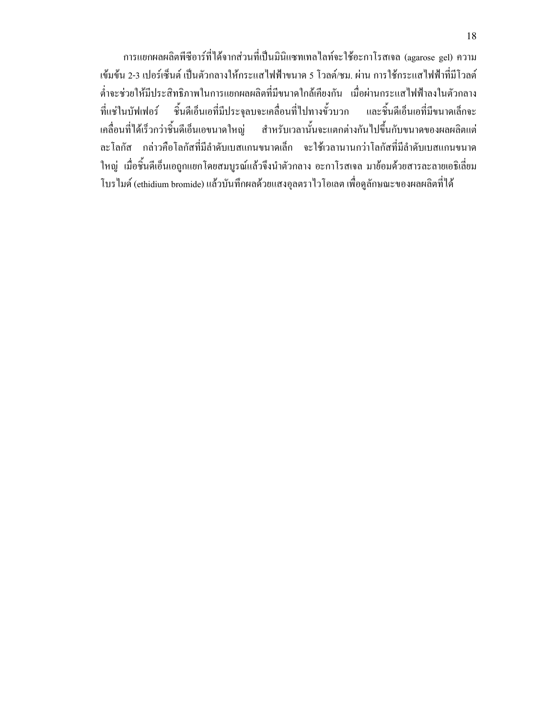การแยกผลผลิตพีซีอาร์ที่ได้จากส่วนที่เป็นมินิแซทเทลไลท์จะใช้อะกาโรสเจล (agarose gel) ความ เข้มข้น 2-3 เปอร์เซ็นต์ เป็นตัวกลางให้กระแสไฟฟ้าขนาด 5 โวลต์/ชม. ผ่าน การใช้กระแสไฟฟ้าที่มีโวลต์ ต่ำจะช่วยให้มีประสิทธิภาพในการแยกผลผลิตที่มีขนาดใกล้เคียงกัน เมื่อผ่านกระแสไฟฟ้าลงในตัวกลาง ที่แช่ในบัฟเฟอร์ ชิ้นดีเอ็นเอที่มีประจุลบจะเคลื่อนที่ไปทางขั้วบวก และชิ้น ดีเอ็นเอที่มีขนาดเล็กจะ เคลื่อนที่ได้เร็วกว่าชิ้นดีเอ็นเอขนาดใหญ่ สำหรับเวลานั้นจะแตกต่างกันไปขึ้นกับขนาดของผลผลิตแต่ ละโลกัส กล่าวคือโลกัสที่มีลำคับเบสแกนขนาดเล็ก จะใช้เวลานานกว่าโลกัสที่มีลำคับเบสแกนขนาด ใหญ่ เมื่อชิ้นดีเอ็นเอถูกแยกโคยสมบูรณ์แล้วจึงนำตัวกลาง อะกาโรสเจล มาย้อมด้วยสารละลายเอธิเลี่ยม โบร ไมด์ (ethidium bromide) แล้วบันทึกผลด้วยแสงอุลตราไวโอเลต เพื่อดูลักษณะของผลผลิตที่ได้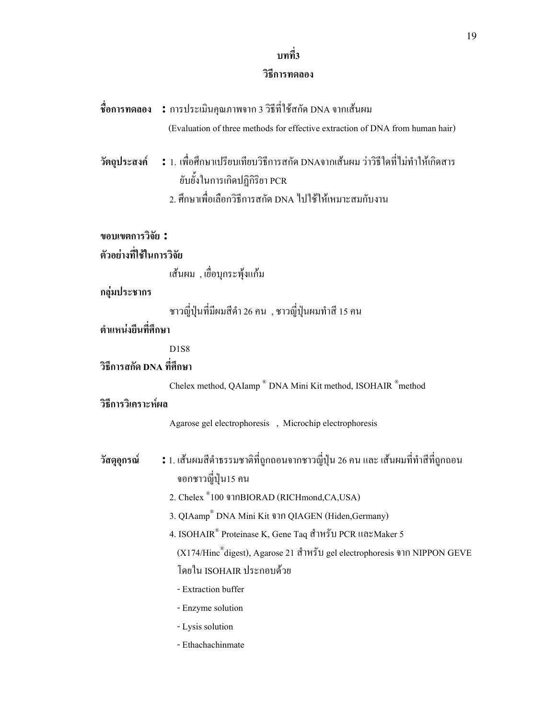# บทที่3

#### วิธีการทดลอง

# **ชื่อการทดลอง :** การประเมินคุณภาพจาก 3 วิธีที่ใช้สกัด DNA จากเส้นผม

(Evaluation of three methods for effective extraction of DNA from human hair)

- วัต**ถุประสงค์ :** 1. เพื่อศึกษาเปรียบเทียบวิธีการสกัด DNAจากเส้นผม ว่าวิธีใดที่ไม่ทำให้เกิดสาร ยับยั้งในการเกิดปฏิกิริยา PCR
	- 2. ศึกษาเพื่อเลือกวิธีการสกัด DNA ไปใช้ให้เหมาะสมกับงาน

# ตัวอย่างที่ใช้ในการวิจัย

เส้นผม , เยื่อบุกระพุ้งแก้ม

#### กลุ่มประชากร

ชาวญี่ปุ่นที่มีผมสีดำ 26 คน , ชาวญี่ปุ่นผมทำสี 15 คน

# ้ตำแหน่งยืนที่สึกษา

D1S8

# วิธีการสกัด DNA ที่ศึกษา

Chelex method, QAIamp<sup>®</sup> DNA Mini Kit method, ISOHAIR<sup>®</sup>method

### วิธีการวิเคราะห์ผล

Agarose gel electrophoresis , Microchip electrophoresis

- ์ วัสดุอุกรณ์ ผมสีดำธรรมชาติที่ถูกถอนจากชาวญี่ปุ่น 26 คน และ เส้นผมที่ทำสีที่ถูกถอน จอกชาวญี่ปุ่น15 คน
	- 2. Chelex ® 100 BIORAD (RICHmond,CA,USA)
	- 3. QIAamp® DNA Mini Kit ขาก QIAGEN (Hiden, Germany)
	- 4. ISOHAIR  $^{\circ}$  Proteinase K, Gene Taq สำหรับ PCR และMaker 5 (X174/Hinc $^\text{\tiny\textregistered}$ digest), Agarose 21 สำหรับ gel electrophoresis จาก NIPPON GEVE โดยใน ISOHAIR ประกอบด้วย
		- Extraction buffer
		- Enzyme solution
		- Lysis solution
		- Ethachachinmate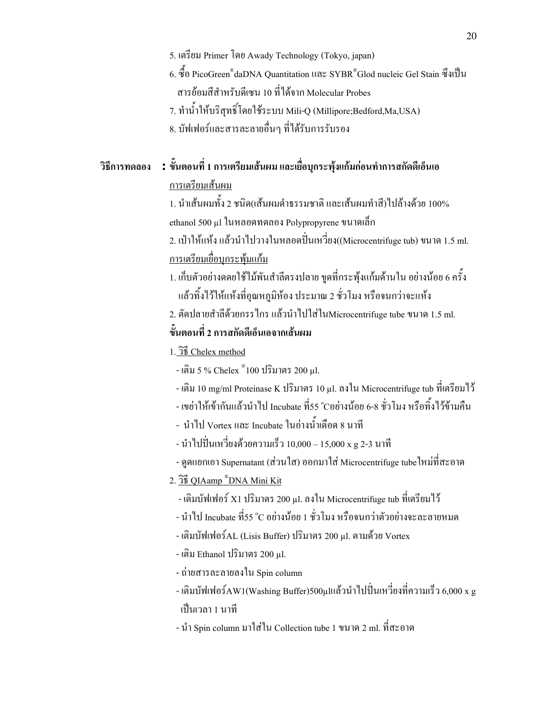- 5. เตรียม Primer โดย Awady Technology (Tokyo, japan)
- 6. ซื้อ PicoGreen®daDNA Quantitation และ  $\text{SYBR}^\circledast$ Glod nucleic Gel Stain ซึ่งเป็น สารย้อมสีสำหรับดีเซน 10 ที่ได้จาก Molecular Probes
- 7. ทำน้ำให้บริสุทธิ์โดยใช้ระบบ Mili-Q (Millipore;Bedford,Ma,USA)
- 8. บัฟเฟอร์และสารละลายอื่นๆ ที่ได้รับการรับรอง

# วิธีการทดลอง **:** ขั้นตอนที่ 1 การเตรียมเส้นผม และเยื่อบุกระพุ้งแก้มก่อนทำการสกัดดีเอ็นเอ <u>การเตรียมเส้นผม</u>

1. นำเส้นผมทั้ง 2 ชนิด(เส้นผมดำธรรมชาติ และเส้นผมทำสี)ไปล้างด้วย 100% ethanol 500 µl ในหลอดทดลอง Polypropyrene ขนาดเล็ก

2. เป่าให้แห้ง แล้วนำไปวางในหลอดปั่นเหวี่ยง((Microcentrifuge tub) ขนาด 1.5 ml. <u>การเตรียมเยื่อบุกระพุ้มแก้ม</u>

- 1. เก็บตัวอย่างคคยใช้ใม้พันสำลีตรงปลาย ขูดที่กระพุ้งแก้มด้านใน อย่างน้อย 6 ครั้ง แล้วทิ้งใว้ให้แห้งที่อุณหภูมิห้อง ประมาณ 2 ชั่วโมง หรือจนกว่าจะแห้ง
- 2. ตัดปลายสำลีด้วยกรรไกร แล้วนำไปใส่ในMicrocentrifuge tube ขนาด 1.5 ml.

# ์ ขั้นตอนที่ 2 การสกัดดีเอ็นเอจากเส้นผม

- 1. 3<sup>5</sup> Chelex method
- เติม 5 % Chelex ®100 ปริมาตร 200 μl.
- เติม 10 mg/ml Proteinase K ปริมาตร 10 µ1. ลงใน Microcentrifuge tub ที่เตรียมใว้
- เขย่าให้เข้ากันแล้วนำไป Incubate ที่55 °Cอย่างน้อย 6-8 ชั่วโมง หรือทิ้งไว้ข้ามคืน
- นำไป Vortex และ Incubate ในอ่างน้ำเดือด 8 นาที
- นำไปปั่นเหวี่ยงด้วยความเร็ว 10,000 15,000 x g 2-3 นาที
- ดูดแยกเอา Supernatant (ส่วนใส) ออกมาใส่ Microcentrifuge tubeใหม่ที่สะอาด
- 2. The QIAamp<sup>®</sup>DNA Mini Kit
- เติมบัฟเฟอร์ X1 ปริมาตร 200 µ1. ลงใน Microcentrifuge tub ที่เตรียมใว้
- นำไป Incubate ที่55 °C อย่างน้อย 1 ชั่วโมง หรือจนกว่าตัวอย่างจะละลายหมด
- เติมบัฟเฟอร์AL (Lisis Buffer) ปริมาตร 200 แ1. ตามด้วย Vortex
- เติม Ethanol ปริมาตร 200  $\mu$ l.
- ถ่ายสารละลายลงใน Spin column
- เติมบัฟเฟอร์AW1(Washing Buffer)500µแเล้วนำไปปั่นเหวี่ยงที่ความเร็ว 6,000 x g เป็นเวลา 1 นาที
- นำ Spin column มาใส่ใน Collection tube 1 ขนาด 2 ml. ที่สะอาด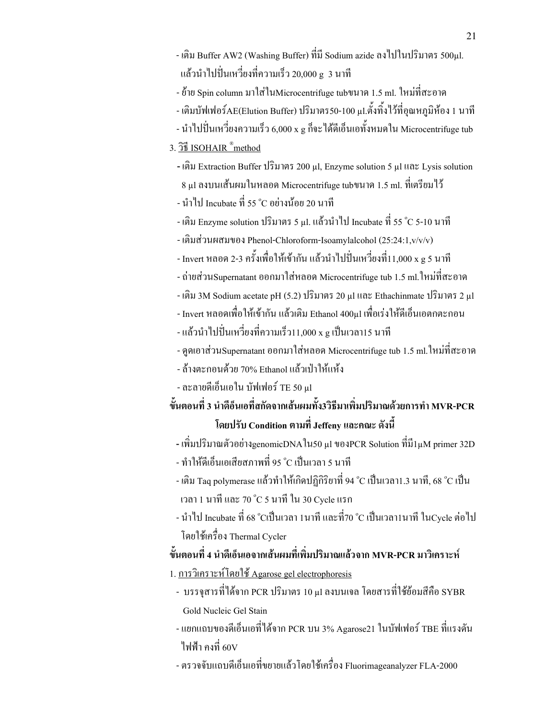- เติม Buffer AW2 (Washing Buffer) ที่มี Sodium azide ถง ไปในปริมาตร 500μl. แล้วนำไปปั่นเหวี่ยงที่ความเร็ว 20,000 g\_3 นาที
- ย้ำย Spin column มาใส่ในMicrocentrifuge tubขนาด 1.5 ml. ใหม่ที่สะอาด
- เติมบัฟเฟอร์AE(Elution Buffer) ปริมาตร50-100 µ1.ตั้งทิ้งใว้ที่อุณหภูมิห้อง 1 นาที
- นำไปปั่นเหวี่ยงความเร็ว 6,000 x g กึ่งะได้ดีเอ็นเอทั้งหมดใน Microcentrifuge tub

## 3. <u>JE ISOHAIR ®method</u>

- เติม Extraction Buffer ปริมาตร 200 แ1, Enzyme solution 5 แ1 และ Lysis solution  $8~\upmu$ l ลงบนเส้นผมในหลอด Microcentrifuge tubขนาด 1.5 ml. ที่เตรียมใว้
- นำไป Incubate ที่ 55 °C อย่างน้อย 20 นาที
- เติม Enzyme solution ปริมาตร 5 µ1. แล้วนำไป Incubate ที่ 55 °C 5-10 นาที
- เติมส่วนผสมของ Phenol-Chloroform-Isoamylalcohol (25:24:1,v/v/v)
- Invert หลอด 2-3 ครั้งเพื่อให้เข้ากัน แล้วนำไปปั่นเหวี่ยงที่11,000 x g 5 นาที
- ถ่ายส่วนSupernatant ออกมาใส่หลอด Microcentrifuge tub 1.5 ml.ใหม่ที่สะอาด
- เติม 3M Sodium acetate pH (5.2) ปริมาตร 20 µl และ Ethachinmate ปริมาตร 2 µl
- Invert หลอดเพื่อให้เข้ากัน แล้วเติม Ethanol 400µl เพื่อเร่งให้ดีเอ็นเอตกตะกอน
- แล้วนำไปปั่นเหวี่ยงที่ความเร็ว11,000 x g เป็นเวลา15 นาที
- ดูดเอาส่วนSupernatant ออกมาใส่หลอด Microcentrifuge tub 1.5 ml.ใหม่ที่สะอาด
- ถ้างตะกอนด้วย 70% Ethanol แล้วเป่าให้แห้ง
- ละลายดีเอ็นเอใน บัฟเฟอร์ TE 50 µl
- ์ขั้นตอนที่ 3 นำดีอ็นเอที่สกัดจากเส้นผมทั้ง3วิธีมาเพิ่มปริมาณด้วยการทำ MVR-PCR โดยปรับ Condition ตามที่ Jeffeny และคณะ ดังนี้
- เพิ่มปริมาณตัวอย่างgenomicDNA ใน50 µ1 ของPCR Solution ที่มี1µM primer 32D
- ทำให้ดีเอ็นเอเสียสภาพที่ 95 °C เป็นเวลา 5 นาที
- เติม Taq polymerase แล้วทำให้เกิดปฏิกิริยาที่ 94 °C เป็นเวลา1.3 นาที, 68 °C เป็น เวลา 1 นาที และ 70 °C 5 นาที ใน 30 Cycle แรก
- นำไป Incubate ที่ 68 °Cเป็นเวลา 1นาที และที่70 °C เป็นเวลา1นาที ในCycle ต่อไป โดยใช้เครื่อง Thermal Cycler

# ์ ขั้นตอนที่ 4 นำดีเอ็นเอจากเส้นผมที่เพิ่มปริมาณแล้วจาก MVR-PCR มาวิเคราะห์

- 1. การวิเคราะห์โดยใช้ Agarose gel electrophoresis
- บรรจุสารที่ได้จาก PCR ปริมาตร 10 μ1 ลงบนเจล โดยสารที่ใช้ย้อมสีคือ SYBR Gold Nucleic Gel Stain
- แยกแถบของดีเอ็นเอที่ได้จาก PCR บน 3% Agarose21 ในบัฟเฟอร์ TBE ที่แรงดัน ไฟฟ้า คงที่ 60V
- ตรวจจับแถบดีเอ็นเอที่ขยายแล้วโดยใช้เครื่อง Fluorimageanalyzer FLA-2000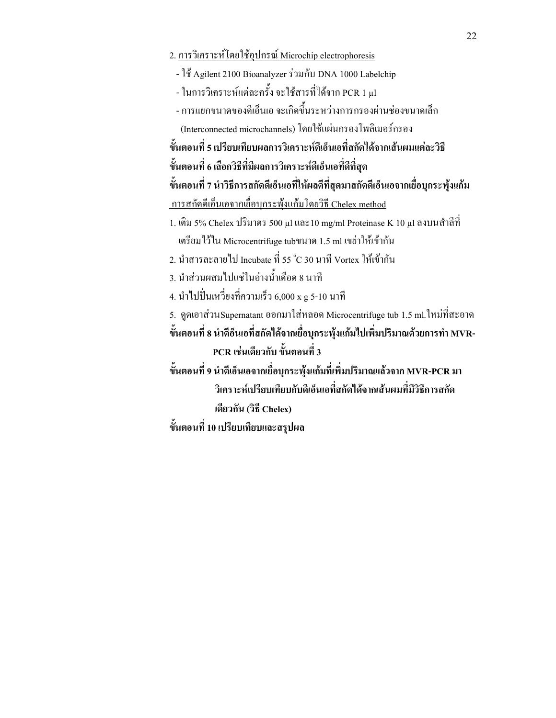- 2. การวิเคราะห์โดยใช้อุปกรณ์ Microchip electrophoresis
	- ใช้ Agilent 2100 Bioanalyzer ร่วมกับ DNA 1000 Labelchip
- ในการวิเคราะห์แต่ละครั้ง จะใช้สารที่ได้จาก PCR 1 μl
- การแยกขนาดของดีเอ็นเอ จะเกิดขึ้นระหว่างการกรองผ่านช่องขนาดเล็ก
- (Interconnected microchannels) โดยใช้แผ่นกรองโพลิเมอร์กรอง

ขั้นตอนที่ 5 เปรียบเทียบผลการวิเคราะห์ดีเอ็นเอที่สกัดได้จากเส้นผมแต่ละวิธี

์ ขั้นตอนที่ 6 เลือกวิธีที่มีผลการวิเคราะห์ดีเอ็นเอที่ดีที่สุด

ขั้นตอนที่ 7 นำวิธีการสกัดดีเอ็นเอที่ให้ผลดีที่สุดมาสกัดดีเอ็นเอจากเยื่อบุกระพุ้งแก้ม

- <u>ี การสกัดดีเอ็นเอจากเยื่อบุกระพุ้งแก้มโดยวิธี Chelex method</u>
- 1. เติม 5% Chelex ปริมาตร 500 µl และ10 mg/ml Proteinase K 10 µl ลงบนสำลีที่
- ้ เตรียมใว้ใน Microcentrifuge tubขนาด 1.5 ml เขย่าให้เข้ากัน
- 2. นำสารละลายใป Incubate ที่ 55 °C 30 นาที Vortex ให้เข้ากัน
- 3. นำส่วนผสมไปแช่ในอ่างน้ำเคือด 8 นาที
- 4. นำไปปั่นเหวี่ยงที่ความเร็ว 6,000 x g 5-10 นาที
- 5. ดูดเอาส่วนSupernatant ออกมาใส่หลอด Microcentrifuge tub 1.5 ml.ใหม่ที่สะอาด

ขั้นตอนที่ 8 นำดีอ็นเอที่สกัดได้จากเยื่อบุกระพุ้งแก้มไปเพิ่มปริมาณด้วยการทำ MVR-PCR เช่นเดียวกับ ขั้นตอนที่ 3

ขั้นตอนที่ 9 นำดีเอ็นเอจากเยื่อบุกระพุ้งแก้มที่เพิ่มปริมาณแล้วจาก MVR-PCR มา วิเคราะห์เปรียบเทียบกับดีเอ็นเอที่สกัดใด้จากเส้นผมที่มีวิธีการสกัด เดียวกัน (วิธี Chelex)

ขั้นตอนที่ 10 เปรียบเทียบและสรุปผล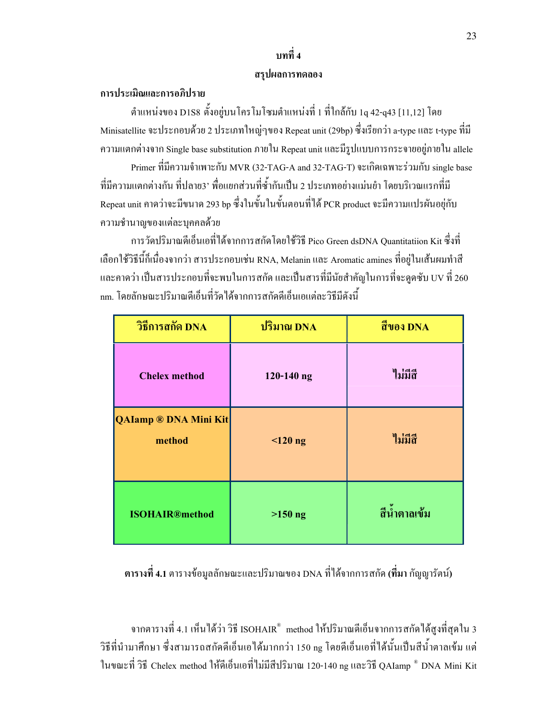# บทที่ 4

#### สรุปผลการทดลอง

#### การประเมิณและการอภิปราย

ตำแหน่งของ D1S8 ตั้งอยู่บนโครโมโซมตำแหน่งที่ 1 ที่ใกล้กับ 1q 42-q43 [11,12] โดย Minisatellite จะประกอบด้วย 2 ประเภทใหญ่ๆของ Repeat unit (29bp) ซึ่งเรียกว่า a-type และ t-type ที่มี ความแตกต่างจาก Single base substitution ภายใน Repeat unit และมีรูปแบบการกระจายอยู่ภายใน allele

Primer ที่มีความจำเพาะกับ MVR (32-TAG-A and 32-TAG-T) จะเกิดเฉพาะร่วมกับ single base ที่มีความแตกต่างกัน ที่ปลาย3' พื่อแยกส่วนที่ซ้ำกันเป็น 2 ประเภทอย่างแม่นยำ โดยบริเวณแรกที่มี Repeat unit คาคว่าจะมีขนาด 293 bp ซึ่งในขั้นในขั้นตอนที่ได้ PCR product จะมีความแปรผันอยู่กับ ความชำนาญของแต่ละบุคคลค้วย

การวัดปริมาณดีเอ็นเอที่ได้จากการสกัดโดยใช้วิธี Pico Green dsDNA Quantitatiion Kit ซึ่งที่ เลือกใช้วิธีนี้ก็เนื่องจากว่า สารประกอบเช่น RNA, Melanin และ Aromatic amines ที่อยู่ในเส้นผมทำสี  $\overline{a}$ และคาคว่า เป็นสารประกอบที่จะพบในการสกัด และเป็นสารที่มีนัยสำคัญในการที่จะดูคซับ UV ที่ 260 nm. โดยลักษณะปริมาณดีเอ็นที่วัดใด้จากการสกัดดีเอ็นเอแต่ละวิธีมีดังนี้

| วิธีการสกัด DNA                        | ปริมาณ DNA     | สีของ DNA    |
|----------------------------------------|----------------|--------------|
| <b>Chelex method</b>                   | $120 - 140$ ng | ไม่มีสิ      |
| <b>QAIamp ® DNA Mini Kit</b><br>method | $<$ 120 ng     | ใม่มีสิ      |
| <b>ISOHAIR®method</b>                  | $>150$ ng      | สีน้ำตาลเข้ม |

ตารางที่ 4.1 ตารางข้อมูลลักษณะและปริมาณของ DNA ที่ได้จากการสกัด (ที่มา กัญญารัตน์)

จากตารางที่ 4.1 เห็นได้ว่า วิธี ISOHAIR® method ให้ปริมาณดีเอ็นจากการสกัดได้สูงที่สุดใน 3 วิธีที่นำมาศึกษา ซึ่งสามารถสกัดดีเอ็นเอได้มากกว่า 150 ng โดยดีเอ็นเอที่ได้นั้นเป็นสีน้ำตาลเข้ม แต่ ในขณะที่ วิธี Chelex method ให้ดีเอ็นเอที่ไม่มีสิปริมาณ 120-140 ng และวิธี QAIamp ® DNA Mini Kit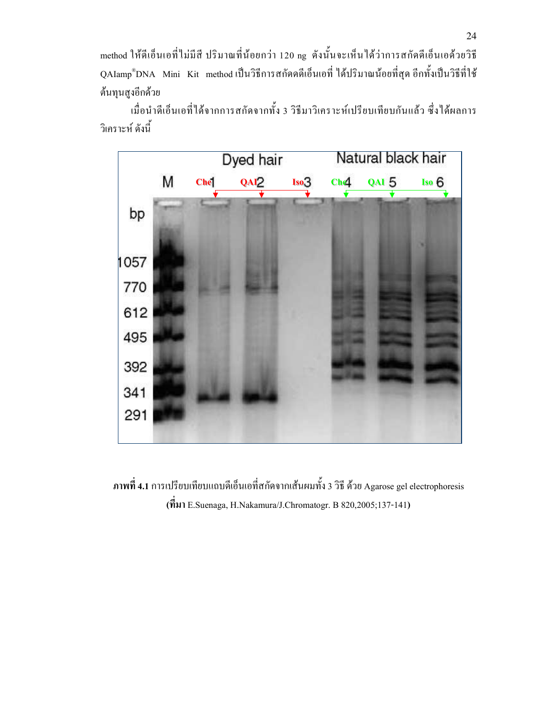method ให้ดีเอ็นเอที่ไม่มีสี ปริมาณที่น้อยกว่า 120 ng ดังนั้นจะเห็นได้ว่าการสกัดดีเอ็นเอด้วยวิธี QAIamp®DNA Mini Kit methodเป็นวิธีการสกัดดดีเอ็นเอที่ ได้ปริมาณน้อยที่สุด อีกทั้งเป็นวิธีที่ใช้ ด้นทุนสูงอีกด้วย

เมื่อนำดีเอ็นเอที่ได้จากการสกัดจากทั้ง 3 วิธีมาวิเคราะห์เปรียบเทียบกันแล้ว ซึ่งได้ผลการ วิเคราะห์ ดังนี้ Ï



ภาพที่ 4.1 การเปรียบเทียบแถบดีเอ็นเอที่สกัดจากเส้นผมทั้ง 3 วิธี ด้วย Agarose gel electrophoresis  $(\vec{\hat{n}})$  E.Suenaga, H.Nakamura/J.Chromatogr. B 820,2005;137-141)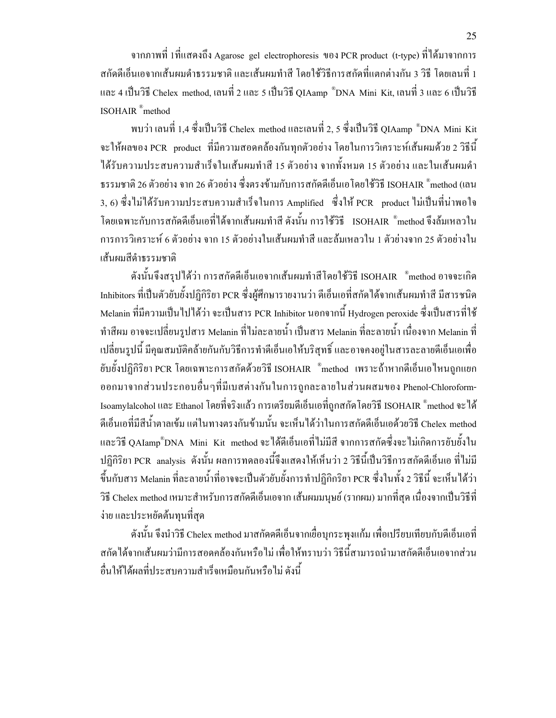จากภาพที่ 1ที่แสดงถึง Agarose gel electrophoresis ของ PCR product (t-type) ที่ได้มาจากการ สกัดดีเอ็นเอจากเส้นผมดำธรรมชาติ และเส้นผมทำสี โดยใช้วิธีการสกัดที่แตกต่างกัน 3 วิธี โดยเลนที่ 1 และ 4 เป็นวิธี Chelex method, เลนที่ 2 และ 5 เป็นวิธี QIAamp ®DNA Mini Kit, เลนที่ 3 และ 6 เป็นวิธี ISOHAIR ® method

พบว่า เลนที่ 1,4 ซึ่งเป็นวิธี Chelex method และเลนที่ 2, 5 ซึ่งเป็นวิธี QIAamp ®DNA Mini Kit จะให้ผลของ PCR product ที่มีความสอดคล้องกันทุกตัวอย่าง โดยในการวิเคราะห์เส้นผมด้วย 2 วิธีนี้ ได้รับความประสบความสำเร็จในเส้นผมทำสี 15 ตัวอย่าง จากทั้งหมด 15 ตัวอย่าง และในเส้นผมดำ ธรรมชาติ 26 ตัวอย่าง จาก 26 ตัวอย่าง ซึ่งตรงข้ามกับการสกัดคีเอ็นเอโคยใช้วิธี ISOHAIR  $^\circ$ method (เลน 3, 6) ซึ่งไม่ได้รับความประสบความสำเร็จในการ Amplified ซึ่งให้ PCR product ไม่เป็นที่น่าพอใจ โดยเฉพาะกับการสกัดดีเอ็นเอที่ได้จากเส้นผมทำสี ดังนั้น การใช้วิธี ISOHAIR ®method จึงล้มเหลวใน การการวิเคราะห์ 6 ตัวอย่าง จาก 15 ตัวอย่างในเส้นผมทำสี และล้มเหลวใน 1 ตัวย่างจาก 25 ตัวอย่างใน เส้นผมสีดำธรรมชาติ

ดังนั้นจึงสรุปได้ว่า การสกัดดีเอ็นเอจากเส้นผมทำสีโดยใช้วิธี ISOHAIR " method อาจจะเกิด Inhibitors ที่เป็นตัวยับยั้งปฏิกิริยา PCR ซึ่งผู้ศึกษารายงานว่า ดีเอ็นเอที่สกัดใด้จากเส้นผมทำสี มีสารชนิด Melanin ที่มีความเป็นไปได้ว่า จะเป็นสาร PCR Inhibitor นอกจากนี้ Hydrogen peroxide ซึ่งเป็นสารที่ใช้ ทำสีผม อาจจะเปลี่ยนรูปสาร Melanin ที่ไม่ละลายน้ำ เป็นสาร Melanin ที่ละลายน้ำ เนื่องจาก Melanin ที่ เปลี่ยนรูปนี้ มีคุณสมบัติคล้ายกันกับวิธีการทำดีเอ็นเอให้บริสุทธิ์ และอาจคงอยู่ในสารละลายดีเอ็นเอเพื่อ ยับยั้งปฏิกิริยา PCR โดยเฉพาะการสกัดด้วยวิธี ISOHAIR  $\degree$ method เพราะถ้าหากดีเอ็นเอไหนถูกแยก ออกมาจากส่วนประกอบอื่นๆที่มีเบสต่างกันในการถูกละลายในส่วนผสมของ Phenol-Chloroform-Isoamylalcohol และ Ethanol โดยที่จริงแล้ว การเตรียมดีเอ็นเอที่ถูกสกัดโดยวิธี ISOHAIR ®method จะได้ ดีเอ็นเอที่มีสีน้ำตาลเข้ม แต่ในทางตรงกันข้ามนั้น จะเห็นได้ว่าในการสกัดดีเอ็นเอด้วยวิธี Chelex method และวิธี QAIamp®DNA Mini Kit method จะได้ดีเอ็นเอที่ไม่มีสี จากการสกัดซึ่งจะไม่เกิดการยับยั้งใน ปฏิกิริยา PCR analysis ดังนั้น ผลการทดลองนี้จึงแสดงให้เห็นว่า 2 วิธีนี้เป็นวิธีการสกัดดีเอ็นเอ ที่ไม่มี  $\ddot{\phantom{a}}$ ֧֧֪֪֪֧֖֧֖֧֖֧֖֧֧֧֧֧֧֧֧֡֝֟֟֟֬֓֝֬֝֬֝֬֝֬֝֬֝֬֝֟֩֬֝֬֝֬֝֬֝֬֝֟֩֓֝֬֝֬֝֬֝֬֝֬֝֬֝֬֝֬֝֬֝<br>֧֪֪֧֧֧֧֧֧֧֧֧֛֝֩֩֩֩ ขึ้นกับสาร Melanin ที่ละลายน้ำที่อาจจะเป็นตัวยับยั้งการทำปฏิกิกริยา PCR ซึ่งในทั้ง 2 วิธีนี้ จะเห็นได้ว่า วิธี Chelex method เหมาะสำหรับการสกัดดีเอ็นเอจาก เส้นผมมนุษย์ (รากผม) มากที่สุด เนื่องจากเป็นวิธีที่ ง่าย และประหยัดต้นทุนที่สุด

ดังนั้น จึงนำวิธี Chelex method มาสกัดคดีเอ็นจากเยื่อบุกระพุงแก้ม เพื่อเปรียบเทียบกับดีเอ็นเอที่ สกัดใด้จากเส้นผมว่ามีการสอดคล้องกันหรือใม่ เพื่อให้ทราบว่า วิธีนี้สามารถนำมาสกัดดีเอ็นเอจากส่วน  $\ddot{\phantom{a}}$ อื่นให้ใด้ผลที่ประสบความสำเร็จเหมือนกันหรือไม่ ดังนี้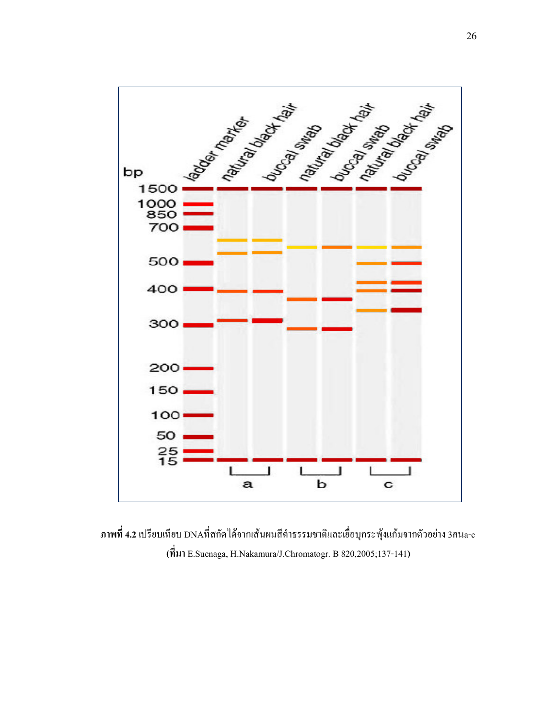

ภาพที่ 4.2 เปรียบเทียบ DNAที่สกัดใด้จากเส้นผมสีดำธรรมชาติและเยื่อบุกระพุ้งแก้มจากตัวอย่าง 3คน<sub>a-c</sub> ( E.Suenaga, H.Nakamura/J.Chromatogr. B 820,2005;137-141)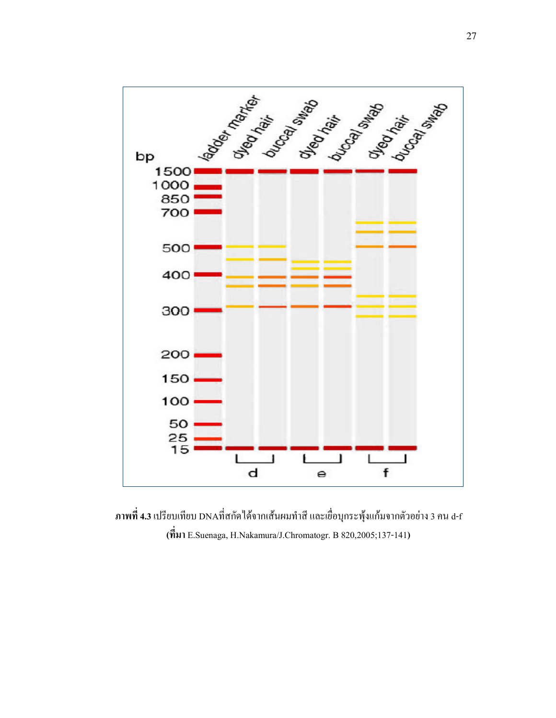

ภาพที่ 4.3 เปรียบเทียบ DNAที่สกัดใด้จากเส้นผมทำสี และเยื่อบุกระพุ้งแก้มจากตัวอย่าง 3 คน d-f ( E.Suenaga, H.Nakamura/J.Chromatogr. B 820,2005;137-141)